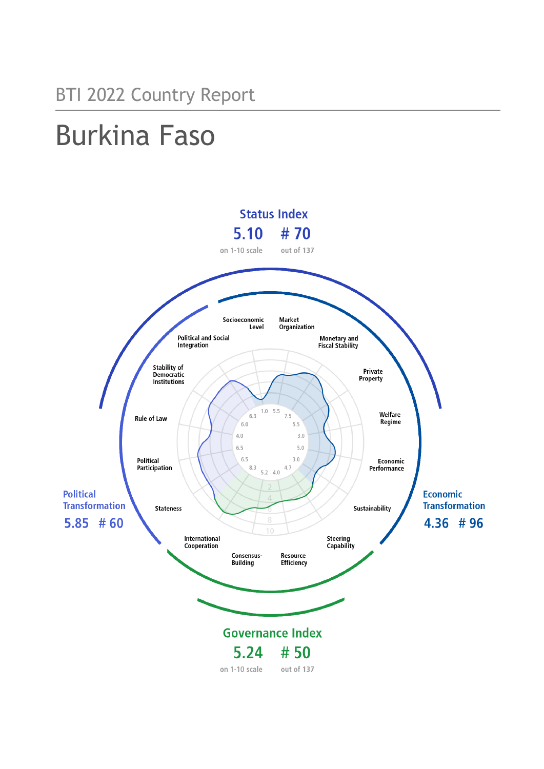# Burkina Faso

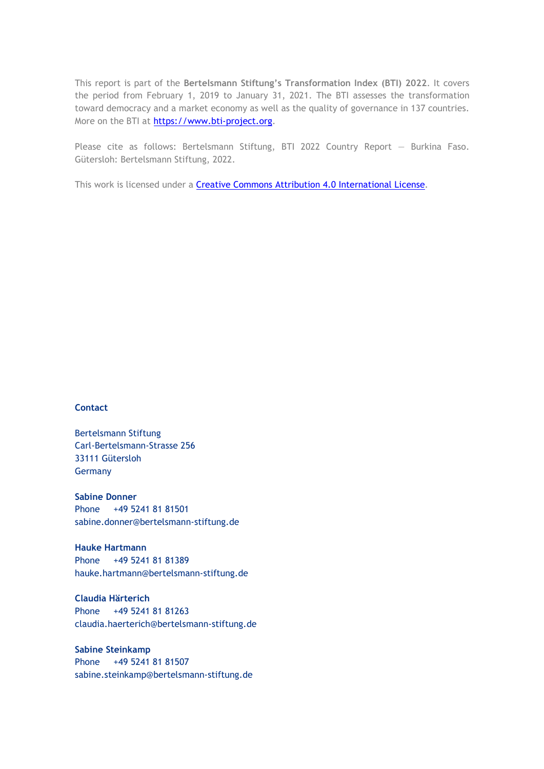This report is part of the **Bertelsmann Stiftung's Transformation Index (BTI) 2022**. It covers the period from February 1, 2019 to January 31, 2021. The BTI assesses the transformation toward democracy and a market economy as well as the quality of governance in 137 countries. More on the BTI at [https://www.bti-project.org.](https://www.bti-project.org/)

Please cite as follows: Bertelsmann Stiftung, BTI 2022 Country Report — Burkina Faso. Gütersloh: Bertelsmann Stiftung, 2022.

This work is licensed under a **Creative Commons Attribution 4.0 International License**.

## **Contact**

Bertelsmann Stiftung Carl-Bertelsmann-Strasse 256 33111 Gütersloh Germany

**Sabine Donner** Phone +49 5241 81 81501 sabine.donner@bertelsmann-stiftung.de

**Hauke Hartmann** Phone +49 5241 81 81389 hauke.hartmann@bertelsmann-stiftung.de

**Claudia Härterich** Phone +49 5241 81 81263 claudia.haerterich@bertelsmann-stiftung.de

**Sabine Steinkamp** Phone +49 5241 81 81507 sabine.steinkamp@bertelsmann-stiftung.de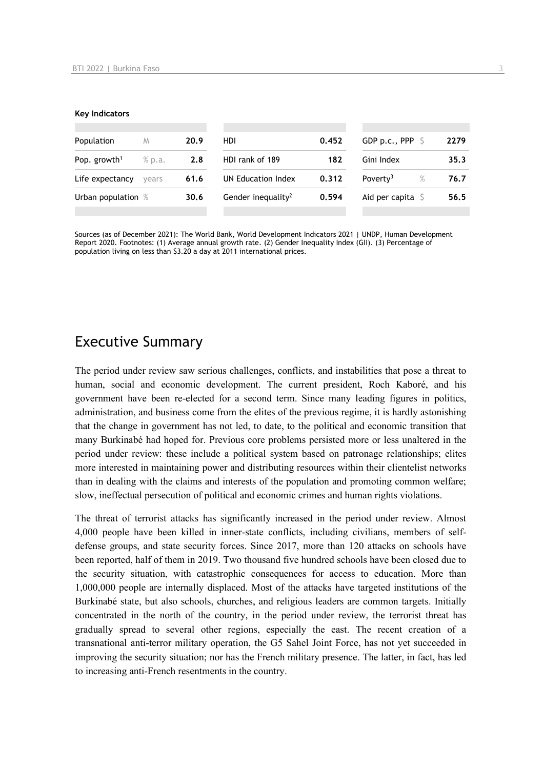#### **Key Indicators**

| Population               | M      | 20.9 | HDI                            | 0.452 | GDP p.c., PPP $\ S$          | 2279 |
|--------------------------|--------|------|--------------------------------|-------|------------------------------|------|
| Pop. growth <sup>1</sup> | % p.a. | 2.8  | HDI rank of 189                | 182   | Gini Index                   | 35.3 |
| Life expectancy          | vears  | 61.6 | UN Education Index             | 0.312 | Poverty <sup>3</sup><br>$\%$ | 76.7 |
| Urban population %       |        | 30.6 | Gender inequality <sup>2</sup> | 0.594 | Aid per capita $\mathsf S$   | 56.5 |
|                          |        |      |                                |       |                              |      |

Sources (as of December 2021): The World Bank, World Development Indicators 2021 | UNDP, Human Development Report 2020. Footnotes: (1) Average annual growth rate. (2) Gender Inequality Index (GII). (3) Percentage of population living on less than \$3.20 a day at 2011 international prices.

# Executive Summary

The period under review saw serious challenges, conflicts, and instabilities that pose a threat to human, social and economic development. The current president, Roch Kaboré, and his government have been re-elected for a second term. Since many leading figures in politics, administration, and business come from the elites of the previous regime, it is hardly astonishing that the change in government has not led, to date, to the political and economic transition that many Burkinabé had hoped for. Previous core problems persisted more or less unaltered in the period under review: these include a political system based on patronage relationships; elites more interested in maintaining power and distributing resources within their clientelist networks than in dealing with the claims and interests of the population and promoting common welfare; slow, ineffectual persecution of political and economic crimes and human rights violations.

The threat of terrorist attacks has significantly increased in the period under review. Almost 4,000 people have been killed in inner-state conflicts, including civilians, members of selfdefense groups, and state security forces. Since 2017, more than 120 attacks on schools have been reported, half of them in 2019. Two thousand five hundred schools have been closed due to the security situation, with catastrophic consequences for access to education. More than 1,000,000 people are internally displaced. Most of the attacks have targeted institutions of the Burkinabé state, but also schools, churches, and religious leaders are common targets. Initially concentrated in the north of the country, in the period under review, the terrorist threat has gradually spread to several other regions, especially the east. The recent creation of a transnational anti-terror military operation, the G5 Sahel Joint Force, has not yet succeeded in improving the security situation; nor has the French military presence. The latter, in fact, has led to increasing anti-French resentments in the country.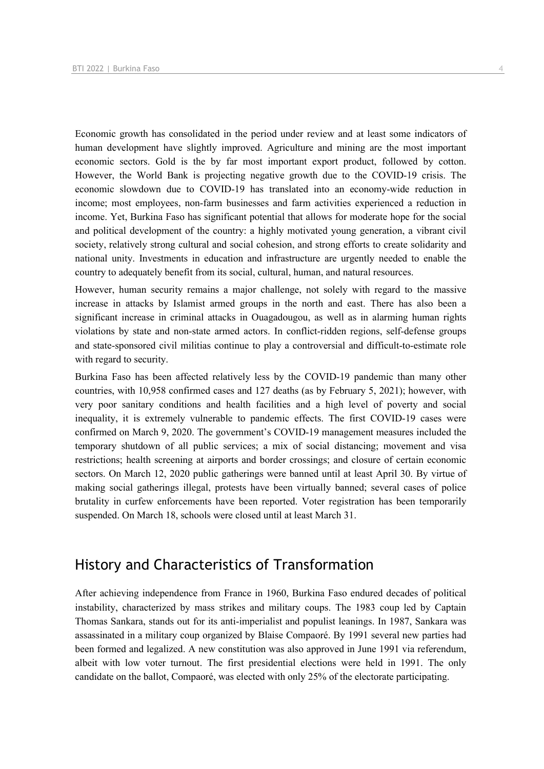Economic growth has consolidated in the period under review and at least some indicators of human development have slightly improved. Agriculture and mining are the most important economic sectors. Gold is the by far most important export product, followed by cotton. However, the World Bank is projecting negative growth due to the COVID-19 crisis. The economic slowdown due to COVID-19 has translated into an economy-wide reduction in income; most employees, non-farm businesses and farm activities experienced a reduction in income. Yet, Burkina Faso has significant potential that allows for moderate hope for the social and political development of the country: a highly motivated young generation, a vibrant civil society, relatively strong cultural and social cohesion, and strong efforts to create solidarity and national unity. Investments in education and infrastructure are urgently needed to enable the country to adequately benefit from its social, cultural, human, and natural resources.

However, human security remains a major challenge, not solely with regard to the massive increase in attacks by Islamist armed groups in the north and east. There has also been a significant increase in criminal attacks in Ouagadougou, as well as in alarming human rights violations by state and non-state armed actors. In conflict-ridden regions, self-defense groups and state-sponsored civil militias continue to play a controversial and difficult-to-estimate role with regard to security.

Burkina Faso has been affected relatively less by the COVID-19 pandemic than many other countries, with 10,958 confirmed cases and 127 deaths (as by February 5, 2021); however, with very poor sanitary conditions and health facilities and a high level of poverty and social inequality, it is extremely vulnerable to pandemic effects. The first COVID-19 cases were confirmed on March 9, 2020. The government's COVID-19 management measures included the temporary shutdown of all public services; a mix of social distancing; movement and visa restrictions; health screening at airports and border crossings; and closure of certain economic sectors. On March 12, 2020 public gatherings were banned until at least April 30. By virtue of making social gatherings illegal, protests have been virtually banned; several cases of police brutality in curfew enforcements have been reported. Voter registration has been temporarily suspended. On March 18, schools were closed until at least March 31.

# History and Characteristics of Transformation

After achieving independence from France in 1960, Burkina Faso endured decades of political instability, characterized by mass strikes and military coups. The 1983 coup led by Captain Thomas Sankara, stands out for its anti-imperialist and populist leanings. In 1987, Sankara was assassinated in a military coup organized by Blaise Compaoré. By 1991 several new parties had been formed and legalized. A new constitution was also approved in June 1991 via referendum, albeit with low voter turnout. The first presidential elections were held in 1991. The only candidate on the ballot, Compaoré, was elected with only 25% of the electorate participating.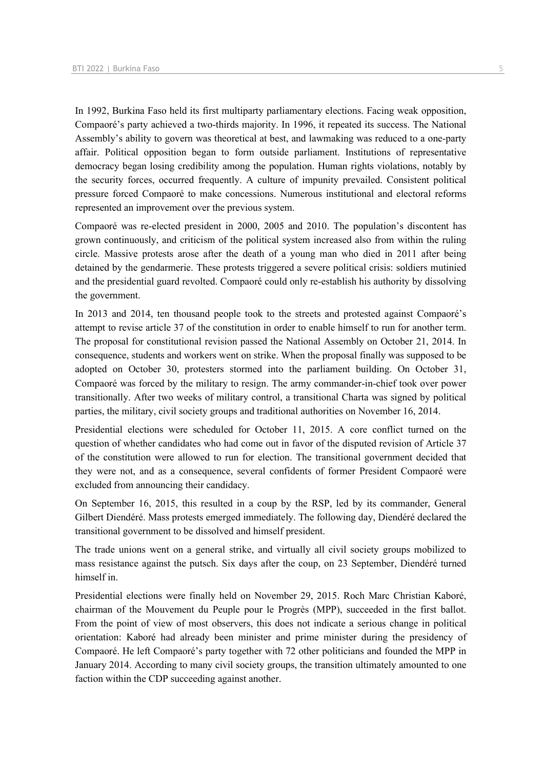In 1992, Burkina Faso held its first multiparty parliamentary elections. Facing weak opposition, Compaoré's party achieved a two-thirds majority. In 1996, it repeated its success. The National Assembly's ability to govern was theoretical at best, and lawmaking was reduced to a one-party affair. Political opposition began to form outside parliament. Institutions of representative democracy began losing credibility among the population. Human rights violations, notably by the security forces, occurred frequently. A culture of impunity prevailed. Consistent political pressure forced Compaoré to make concessions. Numerous institutional and electoral reforms represented an improvement over the previous system.

Compaoré was re-elected president in 2000, 2005 and 2010. The population's discontent has grown continuously, and criticism of the political system increased also from within the ruling circle. Massive protests arose after the death of a young man who died in 2011 after being detained by the gendarmerie. These protests triggered a severe political crisis: soldiers mutinied and the presidential guard revolted. Compaoré could only re-establish his authority by dissolving the government.

In 2013 and 2014, ten thousand people took to the streets and protested against Compaoré's attempt to revise article 37 of the constitution in order to enable himself to run for another term. The proposal for constitutional revision passed the National Assembly on October 21, 2014. In consequence, students and workers went on strike. When the proposal finally was supposed to be adopted on October 30, protesters stormed into the parliament building. On October 31, Compaoré was forced by the military to resign. The army commander-in-chief took over power transitionally. After two weeks of military control, a transitional Charta was signed by political parties, the military, civil society groups and traditional authorities on November 16, 2014.

Presidential elections were scheduled for October 11, 2015. A core conflict turned on the question of whether candidates who had come out in favor of the disputed revision of Article 37 of the constitution were allowed to run for election. The transitional government decided that they were not, and as a consequence, several confidents of former President Compaoré were excluded from announcing their candidacy.

On September 16, 2015, this resulted in a coup by the RSP, led by its commander, General Gilbert Diendéré. Mass protests emerged immediately. The following day, Diendéré declared the transitional government to be dissolved and himself president.

The trade unions went on a general strike, and virtually all civil society groups mobilized to mass resistance against the putsch. Six days after the coup, on 23 September, Diendéré turned himself in.

Presidential elections were finally held on November 29, 2015. Roch Marc Christian Kaboré, chairman of the Mouvement du Peuple pour le Progrès (MPP), succeeded in the first ballot. From the point of view of most observers, this does not indicate a serious change in political orientation: Kaboré had already been minister and prime minister during the presidency of Compaoré. He left Compaoré's party together with 72 other politicians and founded the MPP in January 2014. According to many civil society groups, the transition ultimately amounted to one faction within the CDP succeeding against another.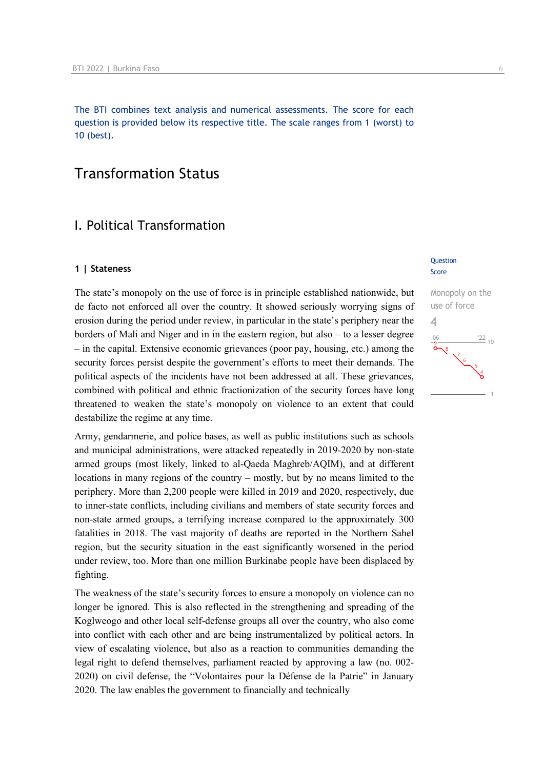The BTI combines text analysis and numerical assessments. The score for each question is provided below its respective title. The scale ranges from 1 (worst) to 10 (best).

# Transformation Status

# I. Political Transformation

#### **1 | Stateness**

The state's monopoly on the use of force is in principle established nationwide, but de facto not enforced all over the country. It showed seriously worrying signs of erosion during the period under review, in particular in the state's periphery near the borders of Mali and Niger and in in the eastern region, but also – to a lesser degree – in the capital. Extensive economic grievances (poor pay, housing, etc.) among the security forces persist despite the government's efforts to meet their demands. The political aspects of the incidents have not been addressed at all. These grievances, combined with political and ethnic fractionization of the security forces have long threatened to weaken the state's monopoly on violence to an extent that could destabilize the regime at any time.

Army, gendarmerie, and police bases, as well as public institutions such as schools and municipal administrations, were attacked repeatedly in 2019-2020 by non-state armed groups (most likely, linked to al-Qaeda Maghreb/AQIM), and at different locations in many regions of the country – mostly, but by no means limited to the periphery. More than 2,200 people were killed in 2019 and 2020, respectively, due to inner-state conflicts, including civilians and members of state security forces and non-state armed groups, a terrifying increase compared to the approximately 300 fatalities in 2018. The vast majority of deaths are reported in the Northern Sahel region, but the security situation in the east significantly worsened in the period under review, too. More than one million Burkinabe people have been displaced by fighting.

The weakness of the state's security forces to ensure a monopoly on violence can no longer be ignored. This is also reflected in the strengthening and spreading of the Koglweogo and other local self-defense groups all over the country, who also come into conflict with each other and are being instrumentalized by political actors. In view of escalating violence, but also as a reaction to communities demanding the legal right to defend themselves, parliament reacted by approving a law (no. 002- 2020) on civil defense, the "Volontaires pour la Défense de la Patrie" in January 2020. The law enables the government to financially and technically

#### Question Score

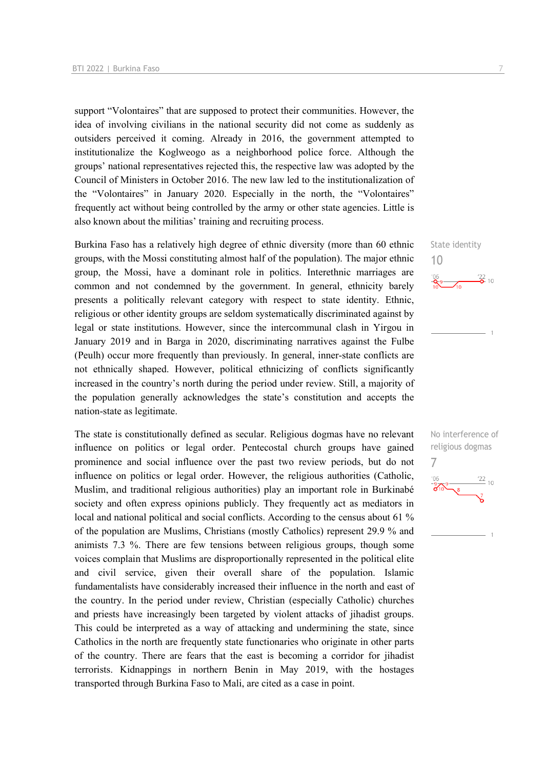support "Volontaires" that are supposed to protect their communities. However, the idea of involving civilians in the national security did not come as suddenly as outsiders perceived it coming. Already in 2016, the government attempted to institutionalize the Koglweogo as a neighborhood police force. Although the groups' national representatives rejected this, the respective law was adopted by the Council of Ministers in October 2016. The new law led to the institutionalization of the "Volontaires" in January 2020. Especially in the north, the "Volontaires" frequently act without being controlled by the army or other state agencies. Little is also known about the militias' training and recruiting process.

Burkina Faso has a relatively high degree of ethnic diversity (more than 60 ethnic groups, with the Mossi constituting almost half of the population). The major ethnic group, the Mossi, have a dominant role in politics. Interethnic marriages are common and not condemned by the government. In general, ethnicity barely presents a politically relevant category with respect to state identity. Ethnic, religious or other identity groups are seldom systematically discriminated against by legal or state institutions. However, since the intercommunal clash in Yirgou in January 2019 and in Barga in 2020, discriminating narratives against the Fulbe (Peulh) occur more frequently than previously. In general, inner-state conflicts are not ethnically shaped. However, political ethnicizing of conflicts significantly increased in the country's north during the period under review. Still, a majority of the population generally acknowledges the state's constitution and accepts the nation-state as legitimate.

The state is constitutionally defined as secular. Religious dogmas have no relevant influence on politics or legal order. Pentecostal church groups have gained prominence and social influence over the past two review periods, but do not influence on politics or legal order. However, the religious authorities (Catholic, Muslim, and traditional religious authorities) play an important role in Burkinabé society and often express opinions publicly. They frequently act as mediators in local and national political and social conflicts. According to the census about 61 % of the population are Muslims, Christians (mostly Catholics) represent 29.9 % and animists 7.3 %. There are few tensions between religious groups, though some voices complain that Muslims are disproportionally represented in the political elite and civil service, given their overall share of the population. Islamic fundamentalists have considerably increased their influence in the north and east of the country. In the period under review, Christian (especially Catholic) churches and priests have increasingly been targeted by violent attacks of jihadist groups. This could be interpreted as a way of attacking and undermining the state, since Catholics in the north are frequently state functionaries who originate in other parts of the country. There are fears that the east is becoming a corridor for jihadist terrorists. Kidnappings in northern Benin in May 2019, with the hostages transported through Burkina Faso to Mali, are cited as a case in point.

State identity 10  $\frac{22}{2}$  10

No interference of religious dogmas 7

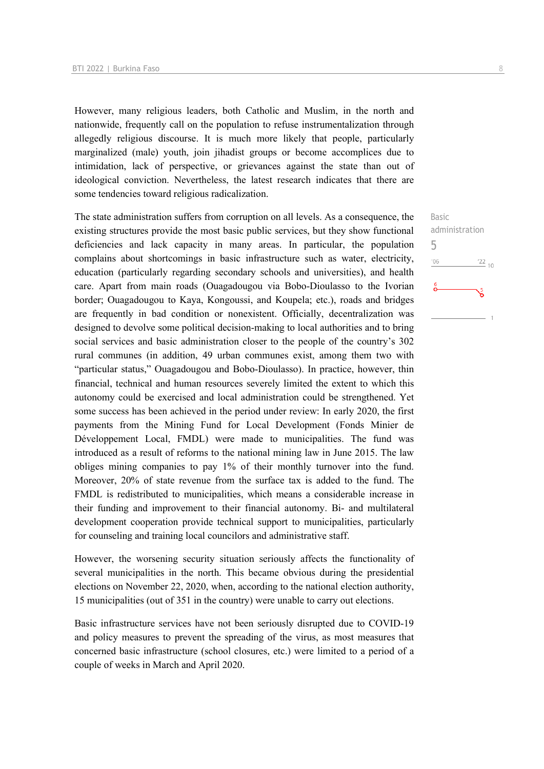However, many religious leaders, both Catholic and Muslim, in the north and nationwide, frequently call on the population to refuse instrumentalization through allegedly religious discourse. It is much more likely that people, particularly marginalized (male) youth, join jihadist groups or become accomplices due to intimidation, lack of perspective, or grievances against the state than out of ideological conviction. Nevertheless, the latest research indicates that there are some tendencies toward religious radicalization.

The state administration suffers from corruption on all levels. As a consequence, the existing structures provide the most basic public services, but they show functional deficiencies and lack capacity in many areas. In particular, the population complains about shortcomings in basic infrastructure such as water, electricity, education (particularly regarding secondary schools and universities), and health care. Apart from main roads (Ouagadougou via Bobo-Dioulasso to the Ivorian border; Ouagadougou to Kaya, Kongoussi, and Koupela; etc.), roads and bridges are frequently in bad condition or nonexistent. Officially, decentralization was designed to devolve some political decision-making to local authorities and to bring social services and basic administration closer to the people of the country's 302 rural communes (in addition, 49 urban communes exist, among them two with "particular status," Ouagadougou and Bobo-Dioulasso). In practice, however, thin financial, technical and human resources severely limited the extent to which this autonomy could be exercised and local administration could be strengthened. Yet some success has been achieved in the period under review: In early 2020, the first payments from the Mining Fund for Local Development (Fonds Minier de Développement Local, FMDL) were made to municipalities. The fund was introduced as a result of reforms to the national mining law in June 2015. The law obliges mining companies to pay 1% of their monthly turnover into the fund. Moreover, 20% of state revenue from the surface tax is added to the fund. The FMDL is redistributed to municipalities, which means a considerable increase in their funding and improvement to their financial autonomy. Bi- and multilateral development cooperation provide technical support to municipalities, particularly for counseling and training local councilors and administrative staff.

However, the worsening security situation seriously affects the functionality of several municipalities in the north. This became obvious during the presidential elections on November 22, 2020, when, according to the national election authority, 15 municipalities (out of 351 in the country) were unable to carry out elections.

Basic infrastructure services have not been seriously disrupted due to COVID-19 and policy measures to prevent the spreading of the virus, as most measures that concerned basic infrastructure (school closures, etc.) were limited to a period of a couple of weeks in March and April 2020.

Basic

5

 $-06$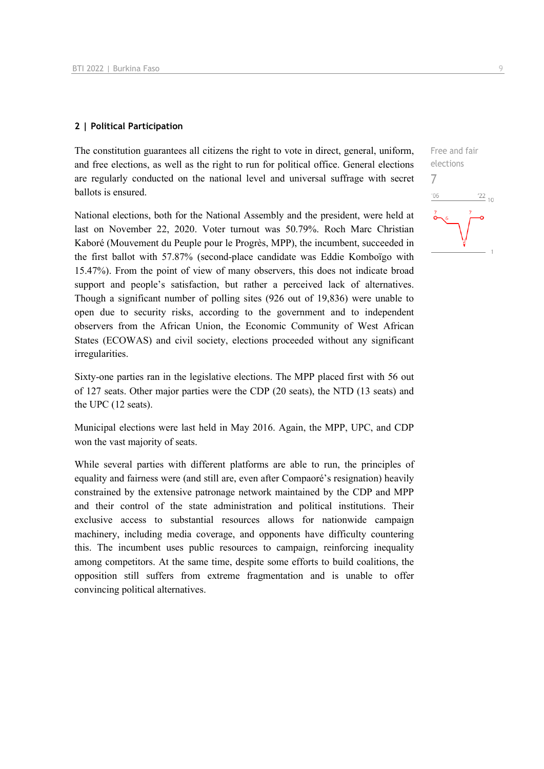#### **2 | Political Participation**

The constitution guarantees all citizens the right to vote in direct, general, uniform, and free elections, as well as the right to run for political office. General elections are regularly conducted on the national level and universal suffrage with secret ballots is ensured.

National elections, both for the National Assembly and the president, were held at last on November 22, 2020. Voter turnout was 50.79%. Roch Marc Christian Kaboré (Mouvement du Peuple pour le Progrès, MPP), the incumbent, succeeded in the first ballot with 57.87% (second-place candidate was Eddie Komboïgo with 15.47%). From the point of view of many observers, this does not indicate broad support and people's satisfaction, but rather a perceived lack of alternatives. Though a significant number of polling sites (926 out of 19,836) were unable to open due to security risks, according to the government and to independent observers from the African Union, the Economic Community of West African States (ECOWAS) and civil society, elections proceeded without any significant irregularities.

Sixty-one parties ran in the legislative elections. The MPP placed first with 56 out of 127 seats. Other major parties were the CDP (20 seats), the NTD (13 seats) and the UPC (12 seats).

Municipal elections were last held in May 2016. Again, the MPP, UPC, and CDP won the vast majority of seats.

While several parties with different platforms are able to run, the principles of equality and fairness were (and still are, even after Compaoré's resignation) heavily constrained by the extensive patronage network maintained by the CDP and MPP and their control of the state administration and political institutions. Their exclusive access to substantial resources allows for nationwide campaign machinery, including media coverage, and opponents have difficulty countering this. The incumbent uses public resources to campaign, reinforcing inequality among competitors. At the same time, despite some efforts to build coalitions, the opposition still suffers from extreme fragmentation and is unable to offer convincing political alternatives.

Free and fair elections 7 $\frac{22}{10}$  $-06$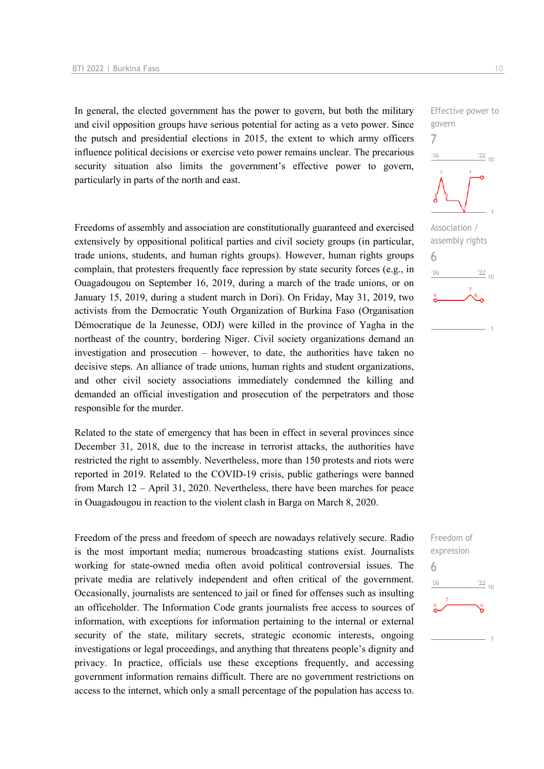In general, the elected government has the power to govern, but both the military and civil opposition groups have serious potential for acting as a veto power. Since the putsch and presidential elections in 2015, the extent to which army officers influence political decisions or exercise veto power remains unclear. The precarious security situation also limits the government's effective power to govern, particularly in parts of the north and east.

Freedoms of assembly and association are constitutionally guaranteed and exercised extensively by oppositional political parties and civil society groups (in particular, trade unions, students, and human rights groups). However, human rights groups complain, that protesters frequently face repression by state security forces (e.g., in Ouagadougou on September 16, 2019, during a march of the trade unions, or on January 15, 2019, during a student march in Dori). On Friday, May 31, 2019, two activists from the Democratic Youth Organization of Burkina Faso (Organisation Démocratique de la Jeunesse, ODJ) were killed in the province of Yagha in the northeast of the country, bordering Niger. Civil society organizations demand an investigation and prosecution – however, to date, the authorities have taken no decisive steps. An alliance of trade unions, human rights and student organizations, and other civil society associations immediately condemned the killing and demanded an official investigation and prosecution of the perpetrators and those responsible for the murder.

Related to the state of emergency that has been in effect in several provinces since December 31, 2018, due to the increase in terrorist attacks, the authorities have restricted the right to assembly. Nevertheless, more than 150 protests and riots were reported in 2019. Related to the COVID-19 crisis, public gatherings were banned from March 12 – April 31, 2020. Nevertheless, there have been marches for peace in Ouagadougou in reaction to the violent clash in Barga on March 8, 2020.

Freedom of the press and freedom of speech are nowadays relatively secure. Radio is the most important media; numerous broadcasting stations exist. Journalists working for state-owned media often avoid political controversial issues. The private media are relatively independent and often critical of the government. Occasionally, journalists are sentenced to jail or fined for offenses such as insulting an officeholder. The Information Code grants journalists free access to sources of information, with exceptions for information pertaining to the internal or external security of the state, military secrets, strategic economic interests, ongoing investigations or legal proceedings, and anything that threatens people's dignity and privacy. In practice, officials use these exceptions frequently, and accessing government information remains difficult. There are no government restrictions on access to the internet, which only a small percentage of the population has access to.



Effective power to

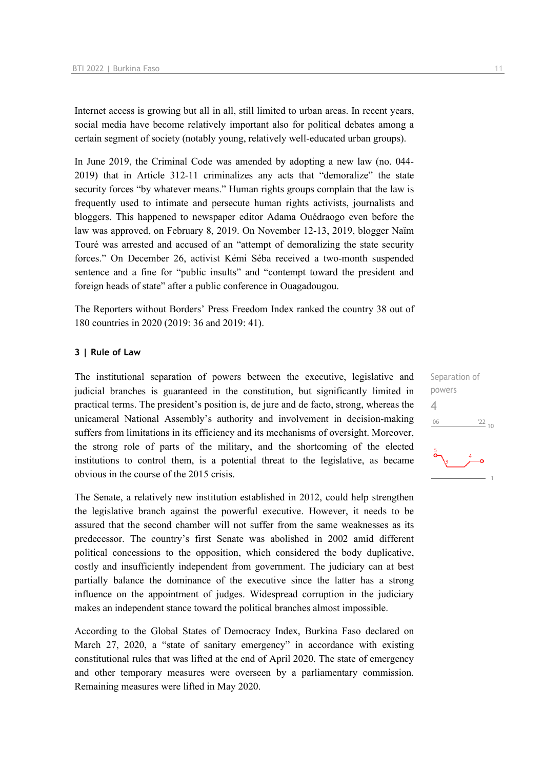Internet access is growing but all in all, still limited to urban areas. In recent years, social media have become relatively important also for political debates among a certain segment of society (notably young, relatively well-educated urban groups).

In June 2019, the Criminal Code was amended by adopting a new law (no. 044- 2019) that in Article 312-11 criminalizes any acts that "demoralize" the state security forces "by whatever means." Human rights groups complain that the law is frequently used to intimate and persecute human rights activists, journalists and bloggers. This happened to newspaper editor Adama Ouédraogo even before the law was approved, on February 8, 2019. On November 12-13, 2019, blogger Naïm Touré was arrested and accused of an "attempt of demoralizing the state security forces." On December 26, activist Kémi Séba received a two-month suspended sentence and a fine for "public insults" and "contempt toward the president and foreign heads of state" after a public conference in Ouagadougou.

The Reporters without Borders' Press Freedom Index ranked the country 38 out of 180 countries in 2020 (2019: 36 and 2019: 41).

#### **3 | Rule of Law**

The institutional separation of powers between the executive, legislative and judicial branches is guaranteed in the constitution, but significantly limited in practical terms. The president's position is, de jure and de facto, strong, whereas the unicameral National Assembly's authority and involvement in decision-making suffers from limitations in its efficiency and its mechanisms of oversight. Moreover, the strong role of parts of the military, and the shortcoming of the elected institutions to control them, is a potential threat to the legislative, as became obvious in the course of the 2015 crisis.

The Senate, a relatively new institution established in 2012, could help strengthen the legislative branch against the powerful executive. However, it needs to be assured that the second chamber will not suffer from the same weaknesses as its predecessor. The country's first Senate was abolished in 2002 amid different political concessions to the opposition, which considered the body duplicative, costly and insufficiently independent from government. The judiciary can at best partially balance the dominance of the executive since the latter has a strong influence on the appointment of judges. Widespread corruption in the judiciary makes an independent stance toward the political branches almost impossible.

According to the Global States of Democracy Index, Burkina Faso declared on March 27, 2020, a "state of sanitary emergency" in accordance with existing constitutional rules that was lifted at the end of April 2020. The state of emergency and other temporary measures were overseen by a parliamentary commission. Remaining measures were lifted in May 2020.

Separation of powers 4 $-06$  $\frac{22}{10}$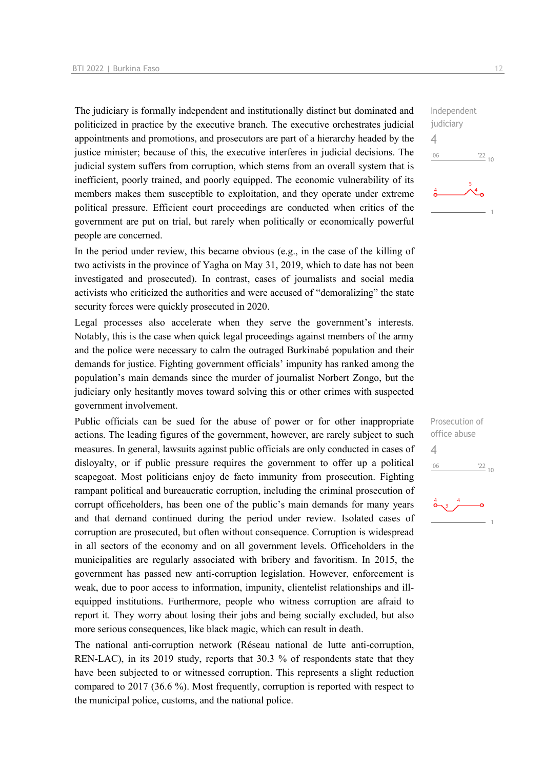The judiciary is formally independent and institutionally distinct but dominated and politicized in practice by the executive branch. The executive orchestrates judicial appointments and promotions, and prosecutors are part of a hierarchy headed by the justice minister; because of this, the executive interferes in judicial decisions. The judicial system suffers from corruption, which stems from an overall system that is inefficient, poorly trained, and poorly equipped. The economic vulnerability of its members makes them susceptible to exploitation, and they operate under extreme political pressure. Efficient court proceedings are conducted when critics of the government are put on trial, but rarely when politically or economically powerful people are concerned.

In the period under review, this became obvious (e.g., in the case of the killing of two activists in the province of Yagha on May 31, 2019, which to date has not been investigated and prosecuted). In contrast, cases of journalists and social media activists who criticized the authorities and were accused of "demoralizing" the state security forces were quickly prosecuted in 2020.

Legal processes also accelerate when they serve the government's interests. Notably, this is the case when quick legal proceedings against members of the army and the police were necessary to calm the outraged Burkinabé population and their demands for justice. Fighting government officials' impunity has ranked among the population's main demands since the murder of journalist Norbert Zongo, but the judiciary only hesitantly moves toward solving this or other crimes with suspected government involvement.

Public officials can be sued for the abuse of power or for other inappropriate actions. The leading figures of the government, however, are rarely subject to such measures. In general, lawsuits against public officials are only conducted in cases of disloyalty, or if public pressure requires the government to offer up a political scapegoat. Most politicians enjoy de facto immunity from prosecution. Fighting rampant political and bureaucratic corruption, including the criminal prosecution of corrupt officeholders, has been one of the public's main demands for many years and that demand continued during the period under review. Isolated cases of corruption are prosecuted, but often without consequence. Corruption is widespread in all sectors of the economy and on all government levels. Officeholders in the municipalities are regularly associated with bribery and favoritism. In 2015, the government has passed new anti-corruption legislation. However, enforcement is weak, due to poor access to information, impunity, clientelist relationships and illequipped institutions. Furthermore, people who witness corruption are afraid to report it. They worry about losing their jobs and being socially excluded, but also more serious consequences, like black magic, which can result in death.

The national anti-corruption network (Réseau national de lutte anti-corruption, REN-LAC), in its 2019 study, reports that 30.3 % of respondents state that they have been subjected to or witnessed corruption. This represents a slight reduction compared to 2017 (36.6 %). Most frequently, corruption is reported with respect to the municipal police, customs, and the national police.

Independent judiciary  $\Delta$  $^{\prime}06$  $\frac{22}{10}$ 

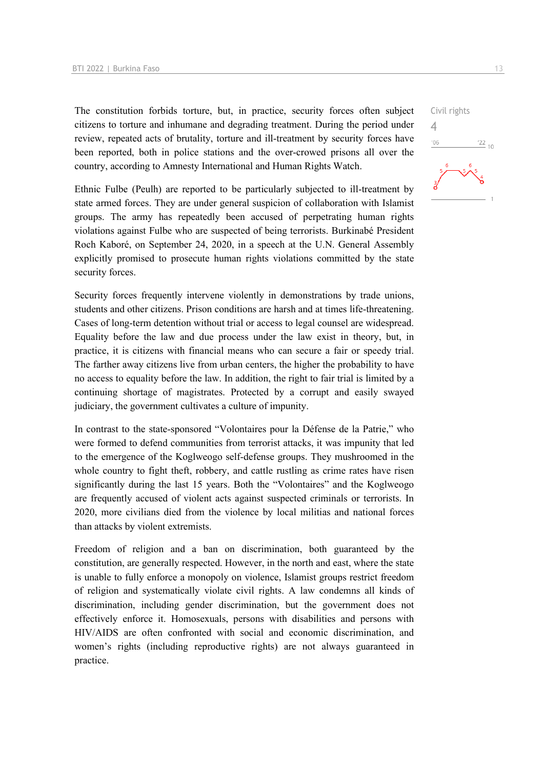The constitution forbids torture, but, in practice, security forces often subject citizens to torture and inhumane and degrading treatment. During the period under review, repeated acts of brutality, torture and ill-treatment by security forces have been reported, both in police stations and the over-crowed prisons all over the country, according to Amnesty International and Human Rights Watch.

Ethnic Fulbe (Peulh) are reported to be particularly subjected to ill-treatment by state armed forces. They are under general suspicion of collaboration with Islamist groups. The army has repeatedly been accused of perpetrating human rights violations against Fulbe who are suspected of being terrorists. Burkinabé President Roch Kaboré, on September 24, 2020, in a speech at the U.N. General Assembly explicitly promised to prosecute human rights violations committed by the state security forces.

Security forces frequently intervene violently in demonstrations by trade unions, students and other citizens. Prison conditions are harsh and at times life-threatening. Cases of long-term detention without trial or access to legal counsel are widespread. Equality before the law and due process under the law exist in theory, but, in practice, it is citizens with financial means who can secure a fair or speedy trial. The farther away citizens live from urban centers, the higher the probability to have no access to equality before the law. In addition, the right to fair trial is limited by a continuing shortage of magistrates. Protected by a corrupt and easily swayed judiciary, the government cultivates a culture of impunity.

In contrast to the state-sponsored "Volontaires pour la Défense de la Patrie," who were formed to defend communities from terrorist attacks, it was impunity that led to the emergence of the Koglweogo self-defense groups. They mushroomed in the whole country to fight theft, robbery, and cattle rustling as crime rates have risen significantly during the last 15 years. Both the "Volontaires" and the Koglweogo are frequently accused of violent acts against suspected criminals or terrorists. In 2020, more civilians died from the violence by local militias and national forces than attacks by violent extremists.

Freedom of religion and a ban on discrimination, both guaranteed by the constitution, are generally respected. However, in the north and east, where the state is unable to fully enforce a monopoly on violence, Islamist groups restrict freedom of religion and systematically violate civil rights. A law condemns all kinds of discrimination, including gender discrimination, but the government does not effectively enforce it. Homosexuals, persons with disabilities and persons with HIV/AIDS are often confronted with social and economic discrimination, and women's rights (including reproductive rights) are not always guaranteed in practice.

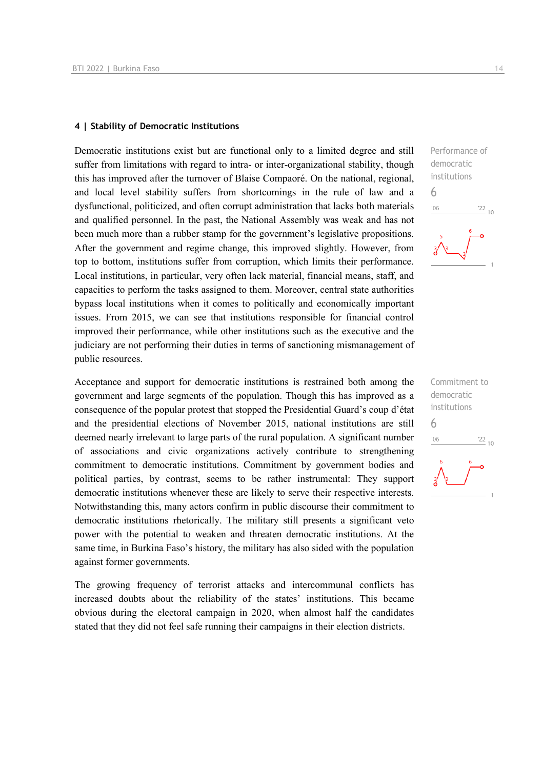## **4 | Stability of Democratic Institutions**

Democratic institutions exist but are functional only to a limited degree and still suffer from limitations with regard to intra- or inter-organizational stability, though this has improved after the turnover of Blaise Compaoré. On the national, regional, and local level stability suffers from shortcomings in the rule of law and a dysfunctional, politicized, and often corrupt administration that lacks both materials and qualified personnel. In the past, the National Assembly was weak and has not been much more than a rubber stamp for the government's legislative propositions. After the government and regime change, this improved slightly. However, from top to bottom, institutions suffer from corruption, which limits their performance. Local institutions, in particular, very often lack material, financial means, staff, and capacities to perform the tasks assigned to them. Moreover, central state authorities bypass local institutions when it comes to politically and economically important issues. From 2015, we can see that institutions responsible for financial control improved their performance, while other institutions such as the executive and the judiciary are not performing their duties in terms of sanctioning mismanagement of public resources.

Acceptance and support for democratic institutions is restrained both among the government and large segments of the population. Though this has improved as a consequence of the popular protest that stopped the Presidential Guard's coup d'état and the presidential elections of November 2015, national institutions are still deemed nearly irrelevant to large parts of the rural population. A significant number of associations and civic organizations actively contribute to strengthening commitment to democratic institutions. Commitment by government bodies and political parties, by contrast, seems to be rather instrumental: They support democratic institutions whenever these are likely to serve their respective interests. Notwithstanding this, many actors confirm in public discourse their commitment to democratic institutions rhetorically. The military still presents a significant veto power with the potential to weaken and threaten democratic institutions. At the same time, in Burkina Faso's history, the military has also sided with the population against former governments.

The growing frequency of terrorist attacks and intercommunal conflicts has increased doubts about the reliability of the states' institutions. This became obvious during the electoral campaign in 2020, when almost half the candidates stated that they did not feel safe running their campaigns in their election districts.



Commitment to democratic institutions 6 $-06$  $\frac{22}{10}$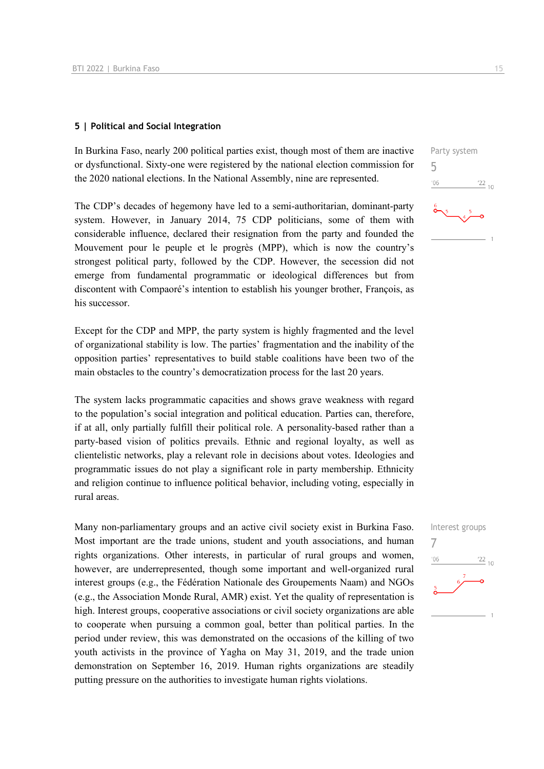## **5 | Political and Social Integration**

In Burkina Faso, nearly 200 political parties exist, though most of them are inactive or dysfunctional. Sixty-one were registered by the national election commission for the 2020 national elections. In the National Assembly, nine are represented.

The CDP's decades of hegemony have led to a semi-authoritarian, dominant-party system. However, in January 2014, 75 CDP politicians, some of them with considerable influence, declared their resignation from the party and founded the Mouvement pour le peuple et le progrès (MPP), which is now the country's strongest political party, followed by the CDP. However, the secession did not emerge from fundamental programmatic or ideological differences but from discontent with Compaoré's intention to establish his younger brother, François, as his successor.

Except for the CDP and MPP, the party system is highly fragmented and the level of organizational stability is low. The parties' fragmentation and the inability of the opposition parties' representatives to build stable coalitions have been two of the main obstacles to the country's democratization process for the last 20 years.

The system lacks programmatic capacities and shows grave weakness with regard to the population's social integration and political education. Parties can, therefore, if at all, only partially fulfill their political role. A personality-based rather than a party-based vision of politics prevails. Ethnic and regional loyalty, as well as clientelistic networks, play a relevant role in decisions about votes. Ideologies and programmatic issues do not play a significant role in party membership. Ethnicity and religion continue to influence political behavior, including voting, especially in rural areas.

Many non-parliamentary groups and an active civil society exist in Burkina Faso. Most important are the trade unions, student and youth associations, and human rights organizations. Other interests, in particular of rural groups and women, however, are underrepresented, though some important and well-organized rural interest groups (e.g., the Fédération Nationale des Groupements Naam) and NGOs (e.g., the Association Monde Rural, AMR) exist. Yet the quality of representation is high. Interest groups, cooperative associations or civil society organizations are able to cooperate when pursuing a common goal, better than political parties. In the period under review, this was demonstrated on the occasions of the killing of two youth activists in the province of Yagha on May 31, 2019, and the trade union demonstration on September 16, 2019. Human rights organizations are steadily putting pressure on the authorities to investigate human rights violations.



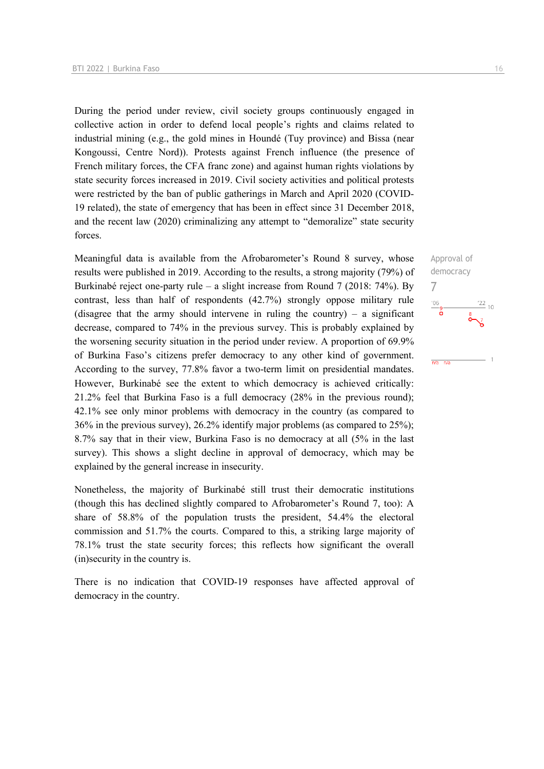During the period under review, civil society groups continuously engaged in collective action in order to defend local people's rights and claims related to industrial mining (e.g., the gold mines in Houndé (Tuy province) and Bissa (near Kongoussi, Centre Nord)). Protests against French influence (the presence of French military forces, the CFA franc zone) and against human rights violations by state security forces increased in 2019. Civil society activities and political protests were restricted by the ban of public gatherings in March and April 2020 (COVID-19 related), the state of emergency that has been in effect since 31 December 2018, and the recent law (2020) criminalizing any attempt to "demoralize" state security forces.

Meaningful data is available from the Afrobarometer's Round 8 survey, whose results were published in 2019. According to the results, a strong majority (79%) of Burkinabé reject one-party rule – a slight increase from Round 7 (2018: 74%). By contrast, less than half of respondents (42.7%) strongly oppose military rule (disagree that the army should intervene in ruling the country) – a significant decrease, compared to 74% in the previous survey. This is probably explained by the worsening security situation in the period under review. A proportion of 69.9% of Burkina Faso's citizens prefer democracy to any other kind of government. According to the survey, 77.8% favor a two-term limit on presidential mandates. However, Burkinabé see the extent to which democracy is achieved critically: 21.2% feel that Burkina Faso is a full democracy (28% in the previous round); 42.1% see only minor problems with democracy in the country (as compared to 36% in the previous survey), 26.2% identify major problems (as compared to 25%); 8.7% say that in their view, Burkina Faso is no democracy at all (5% in the last survey). This shows a slight decline in approval of democracy, which may be explained by the general increase in insecurity.

Nonetheless, the majority of Burkinabé still trust their democratic institutions (though this has declined slightly compared to Afrobarometer's Round 7, too): A share of 58.8% of the population trusts the president, 54.4% the electoral commission and 51.7% the courts. Compared to this, a striking large majority of 78.1% trust the state security forces; this reflects how significant the overall (in)security in the country is.

There is no indication that COVID-19 responses have affected approval of democracy in the country.

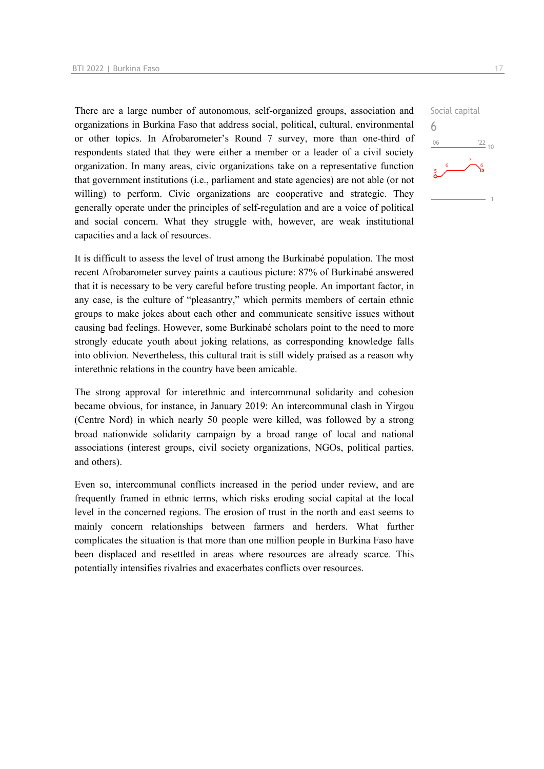There are a large number of autonomous, self-organized groups, association and organizations in Burkina Faso that address social, political, cultural, environmental or other topics. In Afrobarometer's Round 7 survey, more than one-third of respondents stated that they were either a member or a leader of a civil society organization. In many areas, civic organizations take on a representative function that government institutions (i.e., parliament and state agencies) are not able (or not willing) to perform. Civic organizations are cooperative and strategic. They generally operate under the principles of self-regulation and are a voice of political and social concern. What they struggle with, however, are weak institutional capacities and a lack of resources.

It is difficult to assess the level of trust among the Burkinabé population. The most recent Afrobarometer survey paints a cautious picture: 87% of Burkinabé answered that it is necessary to be very careful before trusting people. An important factor, in any case, is the culture of "pleasantry," which permits members of certain ethnic groups to make jokes about each other and communicate sensitive issues without causing bad feelings. However, some Burkinabé scholars point to the need to more strongly educate youth about joking relations, as corresponding knowledge falls into oblivion. Nevertheless, this cultural trait is still widely praised as a reason why interethnic relations in the country have been amicable.

The strong approval for interethnic and intercommunal solidarity and cohesion became obvious, for instance, in January 2019: An intercommunal clash in Yirgou (Centre Nord) in which nearly 50 people were killed, was followed by a strong broad nationwide solidarity campaign by a broad range of local and national associations (interest groups, civil society organizations, NGOs, political parties, and others).

Even so, intercommunal conflicts increased in the period under review, and are frequently framed in ethnic terms, which risks eroding social capital at the local level in the concerned regions. The erosion of trust in the north and east seems to mainly concern relationships between farmers and herders. What further complicates the situation is that more than one million people in Burkina Faso have been displaced and resettled in areas where resources are already scarce. This potentially intensifies rivalries and exacerbates conflicts over resources.

Social capital 6 $06'$  $\frac{22}{10}$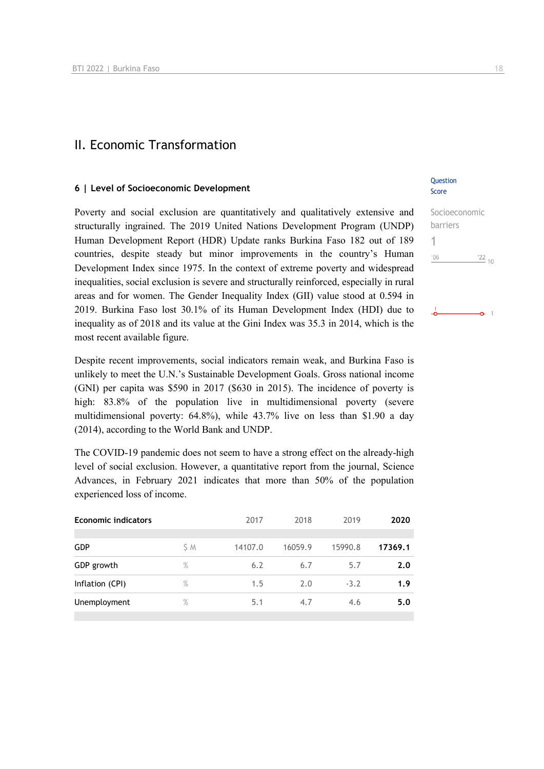## II. Economic Transformation

#### **6 | Level of Socioeconomic Development**

Poverty and social exclusion are quantitatively and qualitatively extensive and structurally ingrained. The 2019 United Nations Development Program (UNDP) Human Development Report (HDR) Update ranks Burkina Faso 182 out of 189 countries, despite steady but minor improvements in the country's Human Development Index since 1975. In the context of extreme poverty and widespread inequalities, social exclusion is severe and structurally reinforced, especially in rural areas and for women. The Gender Inequality Index (GII) value stood at 0.594 in 2019. Burkina Faso lost 30.1% of its Human Development Index (HDI) due to inequality as of 2018 and its value at the Gini Index was 35.3 in 2014, which is the most recent available figure.

Despite recent improvements, social indicators remain weak, and Burkina Faso is unlikely to meet the U.N.'s Sustainable Development Goals. Gross national income (GNI) per capita was \$590 in 2017 (\$630 in 2015). The incidence of poverty is high: 83.8% of the population live in multidimensional poverty (severe multidimensional poverty: 64.8%), while 43.7% live on less than \$1.90 a day (2014), according to the World Bank and UNDP.

The COVID-19 pandemic does not seem to have a strong effect on the already-high level of social exclusion. However, a quantitative report from the journal, Science Advances, in February 2021 indicates that more than 50% of the population experienced loss of income.

| <b>Economic indicators</b> |      | 2017    | 2018    | 2019    | 2020    |
|----------------------------|------|---------|---------|---------|---------|
| <b>GDP</b>                 | S M  | 14107.0 | 16059.9 | 15990.8 | 17369.1 |
| GDP growth                 | $\%$ | 6.2     | 6.7     | 5.7     | 2.0     |
| Inflation (CPI)            | $\%$ | 1.5     | 2.0     | $-3.2$  | 1.9     |
| Unemployment               | $\%$ | 5.1     | 4.7     | 4.6     | 5.0     |
|                            |      |         |         |         |         |

## **Question** Score

| Socioeconomic |                 |  |
|---------------|-----------------|--|
| barriers      |                 |  |
|               |                 |  |
| 106           | $\frac{22}{10}$ |  |
|               |                 |  |
|               |                 |  |

 $-0.1$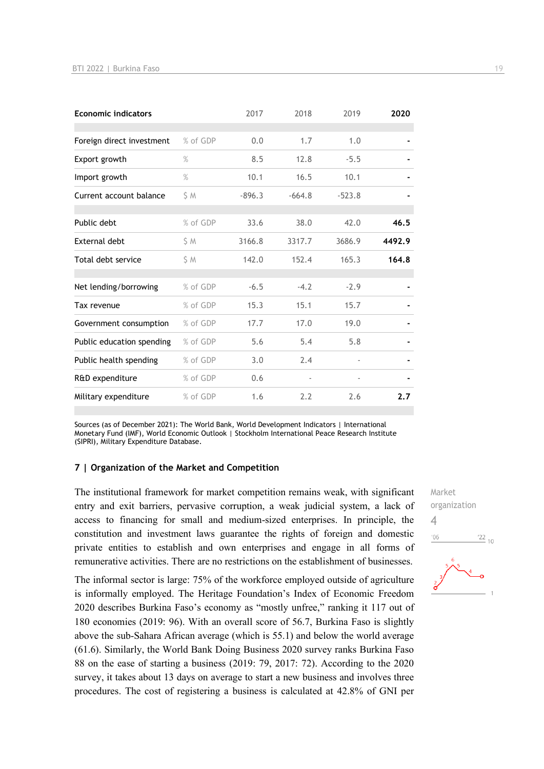| <b>Economic indicators</b> |          | 2017     | 2018     | 2019                     | 2020   |
|----------------------------|----------|----------|----------|--------------------------|--------|
| Foreign direct investment  | % of GDP | 0.0      | 1.7      | 1.0                      |        |
| Export growth              | $\%$     | 8.5      | 12.8     | $-5.5$                   |        |
| Import growth              | $\%$     | 10.1     | 16.5     | 10.1                     |        |
| Current account balance    | S M      | $-896.3$ | $-664.8$ | $-523.8$                 |        |
| Public debt                | % of GDP | 33.6     | 38.0     | 42.0                     | 46.5   |
| External debt              | S M      | 3166.8   | 3317.7   | 3686.9                   | 4492.9 |
| Total debt service         | S M      | 142.0    | 152.4    | 165.3                    | 164.8  |
| Net lending/borrowing      | % of GDP | $-6.5$   | $-4.2$   | $-2.9$                   |        |
| Tax revenue                | % of GDP | 15.3     | 15.1     | 15.7                     |        |
| Government consumption     | % of GDP | 17.7     | 17.0     | 19.0                     |        |
| Public education spending  | % of GDP | 5.6      | 5.4      | 5.8                      |        |
| Public health spending     | % of GDP | 3.0      | 2.4      | $\overline{\phantom{a}}$ |        |
| R&D expenditure            | % of GDP | 0.6      |          |                          |        |
| Military expenditure       | % of GDP | 1.6      | 2.2      | 2.6                      | 2.7    |

Sources (as of December 2021): The World Bank, World Development Indicators | International Monetary Fund (IMF), World Economic Outlook | Stockholm International Peace Research Institute (SIPRI), Military Expenditure Database.

#### **7 | Organization of the Market and Competition**

The institutional framework for market competition remains weak, with significant entry and exit barriers, pervasive corruption, a weak judicial system, a lack of access to financing for small and medium-sized enterprises. In principle, the constitution and investment laws guarantee the rights of foreign and domestic private entities to establish and own enterprises and engage in all forms of remunerative activities. There are no restrictions on the establishment of businesses.

The informal sector is large: 75% of the workforce employed outside of agriculture is informally employed. The Heritage Foundation's Index of Economic Freedom 2020 describes Burkina Faso's economy as "mostly unfree," ranking it 117 out of 180 economies (2019: 96). With an overall score of 56.7, Burkina Faso is slightly above the sub-Sahara African average (which is 55.1) and below the world average (61.6). Similarly, the World Bank Doing Business 2020 survey ranks Burkina Faso 88 on the ease of starting a business (2019: 79, 2017: 72). According to the 2020 survey, it takes about 13 days on average to start a new business and involves three procedures. The cost of registering a business is calculated at 42.8% of GNI per Market organization 4 $\frac{22}{10}$  $-06$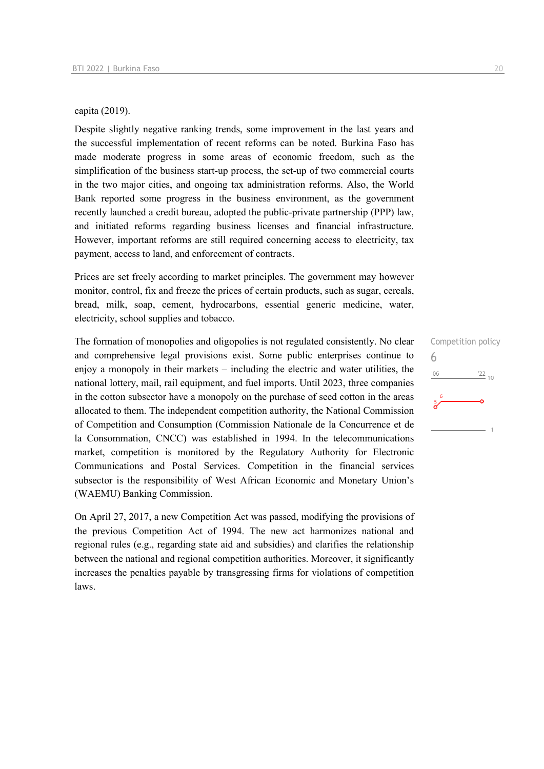#### capita (2019).

Despite slightly negative ranking trends, some improvement in the last years and the successful implementation of recent reforms can be noted. Burkina Faso has made moderate progress in some areas of economic freedom, such as the simplification of the business start-up process, the set-up of two commercial courts in the two major cities, and ongoing tax administration reforms. Also, the World Bank reported some progress in the business environment, as the government recently launched a credit bureau, adopted the public-private partnership (PPP) law, and initiated reforms regarding business licenses and financial infrastructure. However, important reforms are still required concerning access to electricity, tax payment, access to land, and enforcement of contracts.

Prices are set freely according to market principles. The government may however monitor, control, fix and freeze the prices of certain products, such as sugar, cereals, bread, milk, soap, cement, hydrocarbons, essential generic medicine, water, electricity, school supplies and tobacco.

The formation of monopolies and oligopolies is not regulated consistently. No clear and comprehensive legal provisions exist. Some public enterprises continue to enjoy a monopoly in their markets – including the electric and water utilities, the national lottery, mail, rail equipment, and fuel imports. Until 2023, three companies in the cotton subsector have a monopoly on the purchase of seed cotton in the areas allocated to them. The independent competition authority, the National Commission of Competition and Consumption (Commission Nationale de la Concurrence et de la Consommation, CNCC) was established in 1994. In the telecommunications market, competition is monitored by the Regulatory Authority for Electronic Communications and Postal Services. Competition in the financial services subsector is the responsibility of West African Economic and Monetary Union's (WAEMU) Banking Commission.

On April 27, 2017, a new Competition Act was passed, modifying the provisions of the previous Competition Act of 1994. The new act harmonizes national and regional rules (e.g., regarding state aid and subsidies) and clarifies the relationship between the national and regional competition authorities. Moreover, it significantly increases the penalties payable by transgressing firms for violations of competition laws.

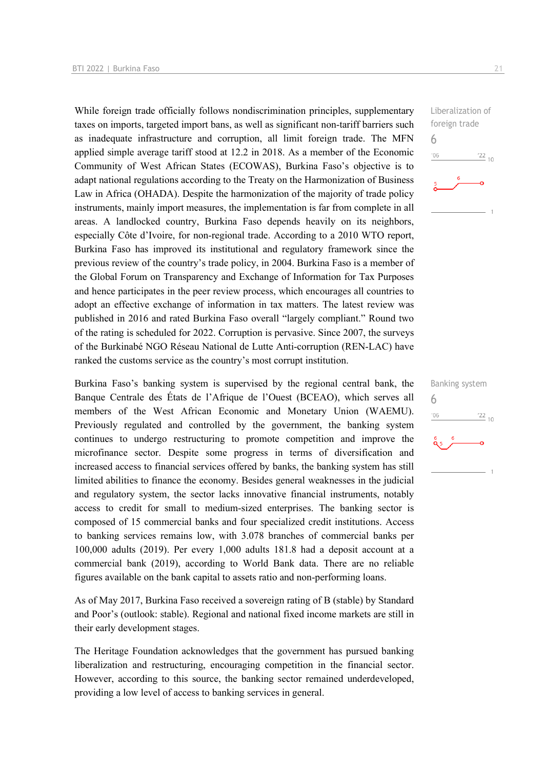While foreign trade officially follows nondiscrimination principles, supplementary taxes on imports, targeted import bans, as well as significant non-tariff barriers such as inadequate infrastructure and corruption, all limit foreign trade. The MFN applied simple average tariff stood at 12.2 in 2018. As a member of the Economic Community of West African States (ECOWAS), Burkina Faso's objective is to adapt national regulations according to the Treaty on the Harmonization of Business Law in Africa (OHADA). Despite the harmonization of the majority of trade policy instruments, mainly import measures, the implementation is far from complete in all areas. A landlocked country, Burkina Faso depends heavily on its neighbors, especially Côte d'Ivoire, for non-regional trade. According to a 2010 WTO report, Burkina Faso has improved its institutional and regulatory framework since the previous review of the country's trade policy, in 2004. Burkina Faso is a member of the Global Forum on Transparency and Exchange of Information for Tax Purposes and hence participates in the peer review process, which encourages all countries to adopt an effective exchange of information in tax matters. The latest review was published in 2016 and rated Burkina Faso overall "largely compliant." Round two of the rating is scheduled for 2022. Corruption is pervasive. Since 2007, the surveys of the Burkinabé NGO Réseau National de Lutte Anti-corruption (REN-LAC) have ranked the customs service as the country's most corrupt institution.

Burkina Faso's banking system is supervised by the regional central bank, the Banque Centrale des États de l'Afrique de l'Ouest (BCEAO), which serves all members of the West African Economic and Monetary Union (WAEMU). Previously regulated and controlled by the government, the banking system continues to undergo restructuring to promote competition and improve the microfinance sector. Despite some progress in terms of diversification and increased access to financial services offered by banks, the banking system has still limited abilities to finance the economy. Besides general weaknesses in the judicial and regulatory system, the sector lacks innovative financial instruments, notably access to credit for small to medium-sized enterprises. The banking sector is composed of 15 commercial banks and four specialized credit institutions. Access to banking services remains low, with 3.078 branches of commercial banks per 100,000 adults (2019). Per every 1,000 adults 181.8 had a deposit account at a commercial bank (2019), according to World Bank data. There are no reliable figures available on the bank capital to assets ratio and non-performing loans.

As of May 2017, Burkina Faso received a sovereign rating of B (stable) by Standard and Poor's (outlook: stable). Regional and national fixed income markets are still in their early development stages.

The Heritage Foundation acknowledges that the government has pursued banking liberalization and restructuring, encouraging competition in the financial sector. However, according to this source, the banking sector remained underdeveloped, providing a low level of access to banking services in general.

Liberalization of foreign trade  $\frac{22}{10}$ 

6

 $06'$ 



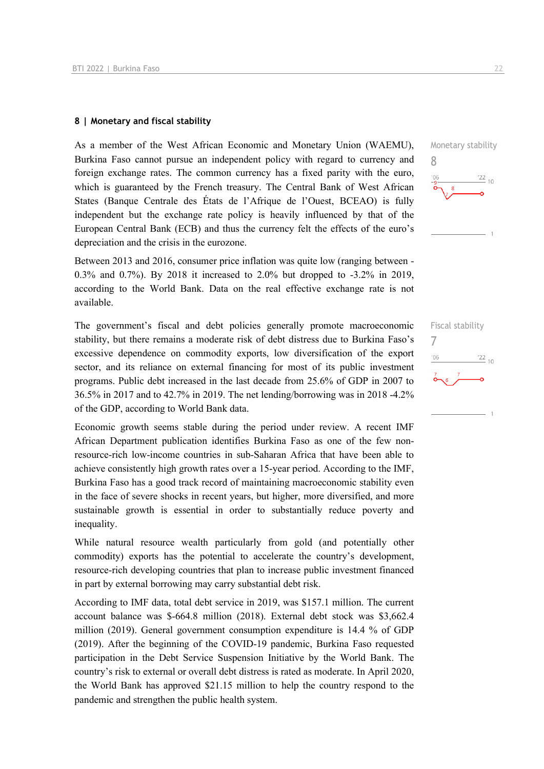#### **8 | Monetary and fiscal stability**

As a member of the West African Economic and Monetary Union (WAEMU), Burkina Faso cannot pursue an independent policy with regard to currency and foreign exchange rates. The common currency has a fixed parity with the euro, which is guaranteed by the French treasury. The Central Bank of West African States (Banque Centrale des États de l'Afrique de l'Ouest, BCEAO) is fully independent but the exchange rate policy is heavily influenced by that of the European Central Bank (ECB) and thus the currency felt the effects of the euro's depreciation and the crisis in the eurozone.

Between 2013 and 2016, consumer price inflation was quite low (ranging between - 0.3% and 0.7%). By 2018 it increased to 2.0% but dropped to -3.2% in 2019, according to the World Bank. Data on the real effective exchange rate is not available.

The government's fiscal and debt policies generally promote macroeconomic stability, but there remains a moderate risk of debt distress due to Burkina Faso's excessive dependence on commodity exports, low diversification of the export sector, and its reliance on external financing for most of its public investment programs. Public debt increased in the last decade from 25.6% of GDP in 2007 to 36.5% in 2017 and to 42.7% in 2019. The net lending/borrowing was in 2018 -4.2% of the GDP, according to World Bank data.

Economic growth seems stable during the period under review. A recent IMF African Department publication identifies Burkina Faso as one of the few nonresource-rich low-income countries in sub-Saharan Africa that have been able to achieve consistently high growth rates over a 15-year period. According to the IMF, Burkina Faso has a good track record of maintaining macroeconomic stability even in the face of severe shocks in recent years, but higher, more diversified, and more sustainable growth is essential in order to substantially reduce poverty and inequality.

While natural resource wealth particularly from gold (and potentially other commodity) exports has the potential to accelerate the country's development, resource-rich developing countries that plan to increase public investment financed in part by external borrowing may carry substantial debt risk.

According to IMF data, total debt service in 2019, was \$157.1 million. The current account balance was \$-664.8 million (2018). External debt stock was \$3,662.4 million (2019). General government consumption expenditure is 14.4 % of GDP (2019). After the beginning of the COVID-19 pandemic, Burkina Faso requested participation in the Debt Service Suspension Initiative by the World Bank. The country's risk to external or overall debt distress is rated as moderate. In April 2020, the World Bank has approved \$21.15 million to help the country respond to the pandemic and strengthen the public health system.



Fiscal stability 7 $\frac{22}{10}$  $-06$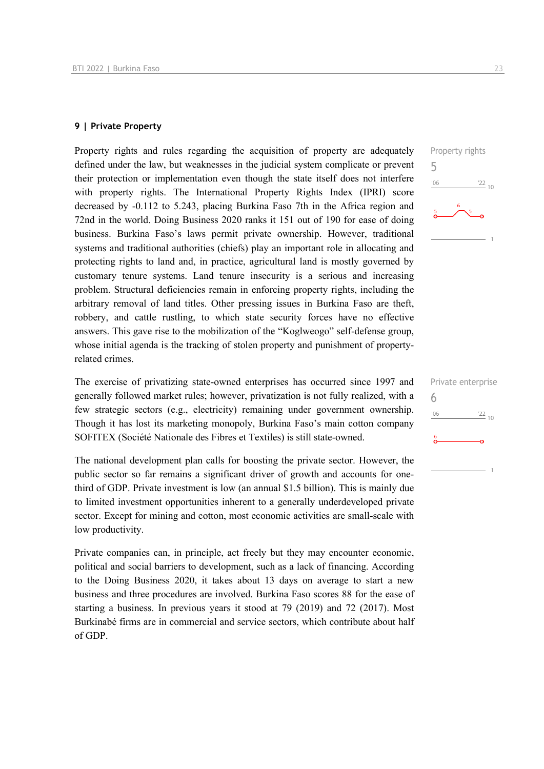## **9 | Private Property**

Property rights and rules regarding the acquisition of property are adequately defined under the law, but weaknesses in the judicial system complicate or prevent their protection or implementation even though the state itself does not interfere with property rights. The International Property Rights Index (IPRI) score decreased by -0.112 to 5.243, placing Burkina Faso 7th in the Africa region and 72nd in the world. Doing Business 2020 ranks it 151 out of 190 for ease of doing business. Burkina Faso's laws permit private ownership. However, traditional systems and traditional authorities (chiefs) play an important role in allocating and protecting rights to land and, in practice, agricultural land is mostly governed by customary tenure systems. Land tenure insecurity is a serious and increasing problem. Structural deficiencies remain in enforcing property rights, including the arbitrary removal of land titles. Other pressing issues in Burkina Faso are theft, robbery, and cattle rustling, to which state security forces have no effective answers. This gave rise to the mobilization of the "Koglweogo" self-defense group, whose initial agenda is the tracking of stolen property and punishment of propertyrelated crimes.

The exercise of privatizing state-owned enterprises has occurred since 1997 and generally followed market rules; however, privatization is not fully realized, with a few strategic sectors (e.g., electricity) remaining under government ownership. Though it has lost its marketing monopoly, Burkina Faso's main cotton company SOFITEX (Société Nationale des Fibres et Textiles) is still state-owned.

The national development plan calls for boosting the private sector. However, the public sector so far remains a significant driver of growth and accounts for onethird of GDP. Private investment is low (an annual \$1.5 billion). This is mainly due to limited investment opportunities inherent to a generally underdeveloped private sector. Except for mining and cotton, most economic activities are small-scale with low productivity.

Private companies can, in principle, act freely but they may encounter economic, political and social barriers to development, such as a lack of financing. According to the Doing Business 2020, it takes about 13 days on average to start a new business and three procedures are involved. Burkina Faso scores 88 for the ease of starting a business. In previous years it stood at 79 (2019) and 72 (2017). Most Burkinabé firms are in commercial and service sectors, which contribute about half of GDP.



|     | Private enterprise |
|-----|--------------------|
|     |                    |
| 106 | $\frac{22}{10}$    |
| 6   |                    |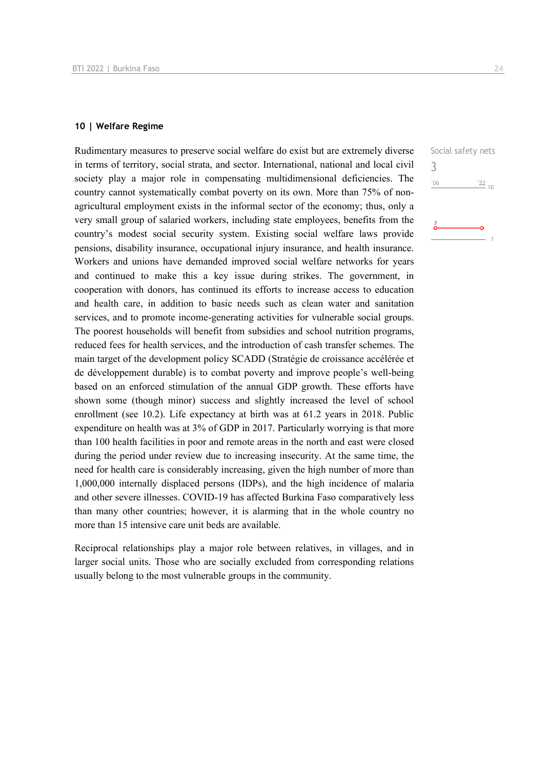#### **10 | Welfare Regime**

Rudimentary measures to preserve social welfare do exist but are extremely diverse in terms of territory, social strata, and sector. International, national and local civil society play a major role in compensating multidimensional deficiencies. The country cannot systematically combat poverty on its own. More than 75% of nonagricultural employment exists in the informal sector of the economy; thus, only a very small group of salaried workers, including state employees, benefits from the country's modest social security system. Existing social welfare laws provide pensions, disability insurance, occupational injury insurance, and health insurance. Workers and unions have demanded improved social welfare networks for years and continued to make this a key issue during strikes. The government, in cooperation with donors, has continued its efforts to increase access to education and health care, in addition to basic needs such as clean water and sanitation services, and to promote income-generating activities for vulnerable social groups. The poorest households will benefit from subsidies and school nutrition programs, reduced fees for health services, and the introduction of cash transfer schemes. The main target of the development policy SCADD (Stratégie de croissance accélérée et de développement durable) is to combat poverty and improve people's well-being based on an enforced stimulation of the annual GDP growth. These efforts have shown some (though minor) success and slightly increased the level of school enrollment (see 10.2). Life expectancy at birth was at 61.2 years in 2018. Public expenditure on health was at 3% of GDP in 2017. Particularly worrying is that more than 100 health facilities in poor and remote areas in the north and east were closed during the period under review due to increasing insecurity. At the same time, the need for health care is considerably increasing, given the high number of more than 1,000,000 internally displaced persons (IDPs), and the high incidence of malaria and other severe illnesses. COVID-19 has affected Burkina Faso comparatively less than many other countries; however, it is alarming that in the whole country no more than 15 intensive care unit beds are available.

Reciprocal relationships play a major role between relatives, in villages, and in larger social units. Those who are socially excluded from corresponding relations usually belong to the most vulnerable groups in the community.

Social safety nets 3 $'06$  $^{22}$  10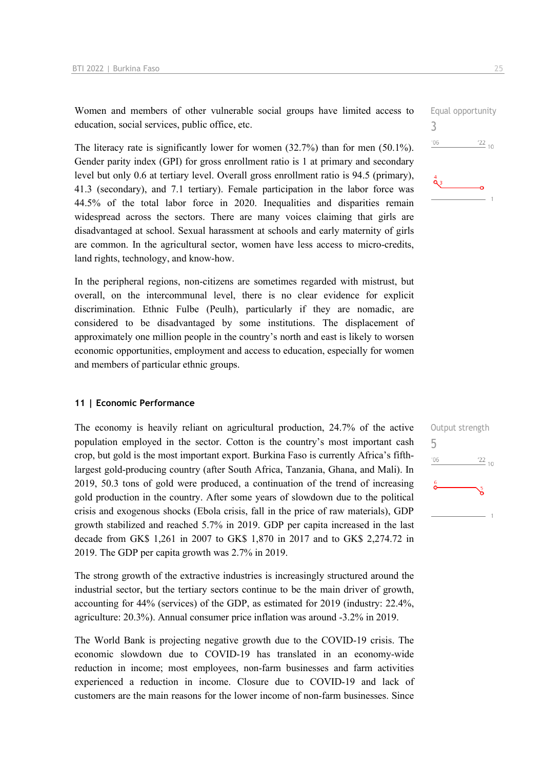Women and members of other vulnerable social groups have limited access to education, social services, public office, etc.

The literacy rate is significantly lower for women (32.7%) than for men (50.1%). Gender parity index (GPI) for gross enrollment ratio is 1 at primary and secondary level but only 0.6 at tertiary level. Overall gross enrollment ratio is 94.5 (primary), 41.3 (secondary), and 7.1 tertiary). Female participation in the labor force was 44.5% of the total labor force in 2020. Inequalities and disparities remain widespread across the sectors. There are many voices claiming that girls are disadvantaged at school. Sexual harassment at schools and early maternity of girls are common. In the agricultural sector, women have less access to micro-credits, land rights, technology, and know-how.

In the peripheral regions, non-citizens are sometimes regarded with mistrust, but overall, on the intercommunal level, there is no clear evidence for explicit discrimination. Ethnic Fulbe (Peulh), particularly if they are nomadic, are considered to be disadvantaged by some institutions. The displacement of approximately one million people in the country's north and east is likely to worsen economic opportunities, employment and access to education, especially for women and members of particular ethnic groups.

#### **11 | Economic Performance**

The economy is heavily reliant on agricultural production, 24.7% of the active population employed in the sector. Cotton is the country's most important cash crop, but gold is the most important export. Burkina Faso is currently Africa's fifthlargest gold-producing country (after South Africa, Tanzania, Ghana, and Mali). In 2019, 50.3 tons of gold were produced, a continuation of the trend of increasing gold production in the country. After some years of slowdown due to the political crisis and exogenous shocks (Ebola crisis, fall in the price of raw materials), GDP growth stabilized and reached 5.7% in 2019. GDP per capita increased in the last decade from GK\$ 1,261 in 2007 to GK\$ 1,870 in 2017 and to GK\$ 2,274.72 in 2019. The GDP per capita growth was 2.7% in 2019.

The strong growth of the extractive industries is increasingly structured around the industrial sector, but the tertiary sectors continue to be the main driver of growth, accounting for 44% (services) of the GDP, as estimated for 2019 (industry: 22.4%, agriculture: 20.3%). Annual consumer price inflation was around -3.2% in 2019.

The World Bank is projecting negative growth due to the COVID-19 crisis. The economic slowdown due to COVID-19 has translated in an economy-wide reduction in income; most employees, non-farm businesses and farm activities experienced a reduction in income. Closure due to COVID-19 and lack of customers are the main reasons for the lower income of non-farm businesses. Since



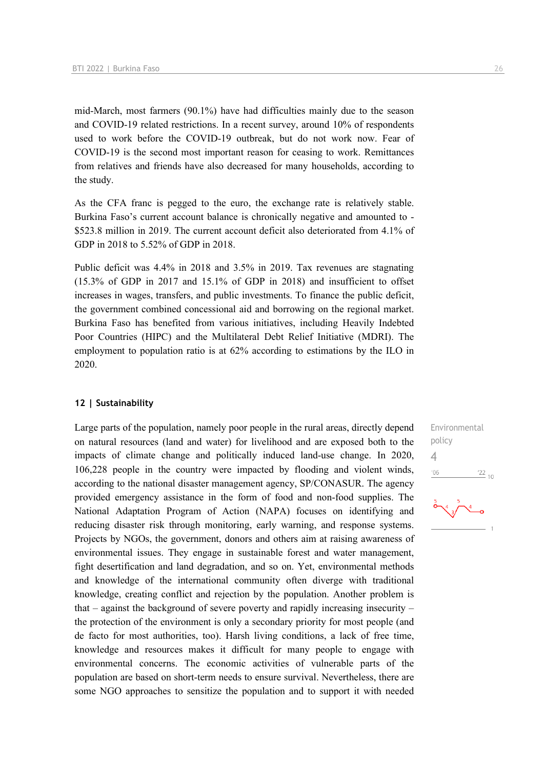mid-March, most farmers (90.1%) have had difficulties mainly due to the season and COVID-19 related restrictions. In a recent survey, around 10% of respondents used to work before the COVID-19 outbreak, but do not work now. Fear of COVID-19 is the second most important reason for ceasing to work. Remittances from relatives and friends have also decreased for many households, according to the study.

As the CFA franc is pegged to the euro, the exchange rate is relatively stable. Burkina Faso's current account balance is chronically negative and amounted to - \$523.8 million in 2019. The current account deficit also deteriorated from 4.1% of GDP in 2018 to 5.52% of GDP in 2018.

Public deficit was 4.4% in 2018 and 3.5% in 2019. Tax revenues are stagnating (15.3% of GDP in 2017 and 15.1% of GDP in 2018) and insufficient to offset increases in wages, transfers, and public investments. To finance the public deficit, the government combined concessional aid and borrowing on the regional market. Burkina Faso has benefited from various initiatives, including Heavily Indebted Poor Countries (HIPC) and the Multilateral Debt Relief Initiative (MDRI). The employment to population ratio is at 62% according to estimations by the ILO in 2020.

## **12 | Sustainability**

Large parts of the population, namely poor people in the rural areas, directly depend on natural resources (land and water) for livelihood and are exposed both to the impacts of climate change and politically induced land-use change. In 2020, 106,228 people in the country were impacted by flooding and violent winds, according to the national disaster management agency, SP/CONASUR. The agency provided emergency assistance in the form of food and non-food supplies. The National Adaptation Program of Action (NAPA) focuses on identifying and reducing disaster risk through monitoring, early warning, and response systems. Projects by NGOs, the government, donors and others aim at raising awareness of environmental issues. They engage in sustainable forest and water management, fight desertification and land degradation, and so on. Yet, environmental methods and knowledge of the international community often diverge with traditional knowledge, creating conflict and rejection by the population. Another problem is that – against the background of severe poverty and rapidly increasing insecurity – the protection of the environment is only a secondary priority for most people (and de facto for most authorities, too). Harsh living conditions, a lack of free time, knowledge and resources makes it difficult for many people to engage with environmental concerns. The economic activities of vulnerable parts of the population are based on short-term needs to ensure survival. Nevertheless, there are some NGO approaches to sensitize the population and to support it with needed

Environmental policy 4 $\frac{22}{10}$  $-06$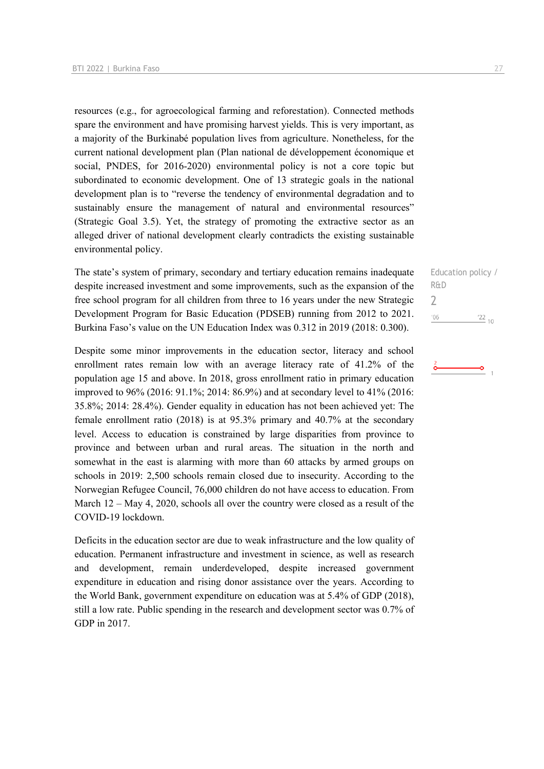resources (e.g., for agroecological farming and reforestation). Connected methods spare the environment and have promising harvest yields. This is very important, as a majority of the Burkinabé population lives from agriculture. Nonetheless, for the current national development plan (Plan national de développement économique et social, PNDES, for 2016-2020) environmental policy is not a core topic but subordinated to economic development. One of 13 strategic goals in the national development plan is to "reverse the tendency of environmental degradation and to sustainably ensure the management of natural and environmental resources" (Strategic Goal 3.5). Yet, the strategy of promoting the extractive sector as an alleged driver of national development clearly contradicts the existing sustainable environmental policy.

The state's system of primary, secondary and tertiary education remains inadequate despite increased investment and some improvements, such as the expansion of the free school program for all children from three to 16 years under the new Strategic Development Program for Basic Education (PDSEB) running from 2012 to 2021. Burkina Faso's value on the UN Education Index was 0.312 in 2019 (2018: 0.300).

Despite some minor improvements in the education sector, literacy and school enrollment rates remain low with an average literacy rate of 41.2% of the population age 15 and above. In 2018, gross enrollment ratio in primary education improved to 96% (2016: 91.1%; 2014: 86.9%) and at secondary level to 41% (2016: 35.8%; 2014: 28.4%). Gender equality in education has not been achieved yet: The female enrollment ratio (2018) is at 95.3% primary and 40.7% at the secondary level. Access to education is constrained by large disparities from province to province and between urban and rural areas. The situation in the north and somewhat in the east is alarming with more than 60 attacks by armed groups on schools in 2019: 2,500 schools remain closed due to insecurity. According to the Norwegian Refugee Council, 76,000 children do not have access to education. From March 12 – May 4, 2020, schools all over the country were closed as a result of the COVID-19 lockdown.

Deficits in the education sector are due to weak infrastructure and the low quality of education. Permanent infrastructure and investment in science, as well as research and development, remain underdeveloped, despite increased government expenditure in education and rising donor assistance over the years. According to the World Bank, government expenditure on education was at 5.4% of GDP (2018), still a low rate. Public spending in the research and development sector was 0.7% of GDP in 2017.

Education policy / R&D 2 $06'$  $22_{10}$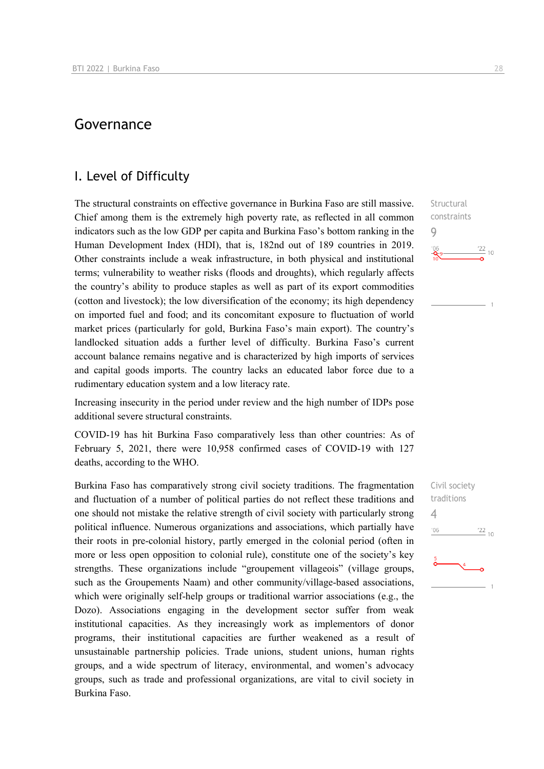# Governance

## I. Level of Difficulty

The structural constraints on effective governance in Burkina Faso are still massive. Chief among them is the extremely high poverty rate, as reflected in all common indicators such as the low GDP per capita and Burkina Faso's bottom ranking in the Human Development Index (HDI), that is, 182nd out of 189 countries in 2019. Other constraints include a weak infrastructure, in both physical and institutional terms; vulnerability to weather risks (floods and droughts), which regularly affects the country's ability to produce staples as well as part of its export commodities (cotton and livestock); the low diversification of the economy; its high dependency on imported fuel and food; and its concomitant exposure to fluctuation of world market prices (particularly for gold, Burkina Faso's main export). The country's landlocked situation adds a further level of difficulty. Burkina Faso's current account balance remains negative and is characterized by high imports of services and capital goods imports. The country lacks an educated labor force due to a rudimentary education system and a low literacy rate.

Increasing insecurity in the period under review and the high number of IDPs pose additional severe structural constraints.

COVID-19 has hit Burkina Faso comparatively less than other countries: As of February 5, 2021, there were 10,958 confirmed cases of COVID-19 with 127 deaths, according to the WHO.

Burkina Faso has comparatively strong civil society traditions. The fragmentation and fluctuation of a number of political parties do not reflect these traditions and one should not mistake the relative strength of civil society with particularly strong political influence. Numerous organizations and associations, which partially have their roots in pre-colonial history, partly emerged in the colonial period (often in more or less open opposition to colonial rule), constitute one of the society's key strengths. These organizations include "groupement villageois" (village groups, such as the Groupements Naam) and other community/village-based associations, which were originally self-help groups or traditional warrior associations (e.g., the Dozo). Associations engaging in the development sector suffer from weak institutional capacities. As they increasingly work as implementors of donor programs, their institutional capacities are further weakened as a result of unsustainable partnership policies. Trade unions, student unions, human rights groups, and a wide spectrum of literacy, environmental, and women's advocacy groups, such as trade and professional organizations, are vital to civil society in Burkina Faso.

Structural constraints 9  $\frac{22}{10}$ 

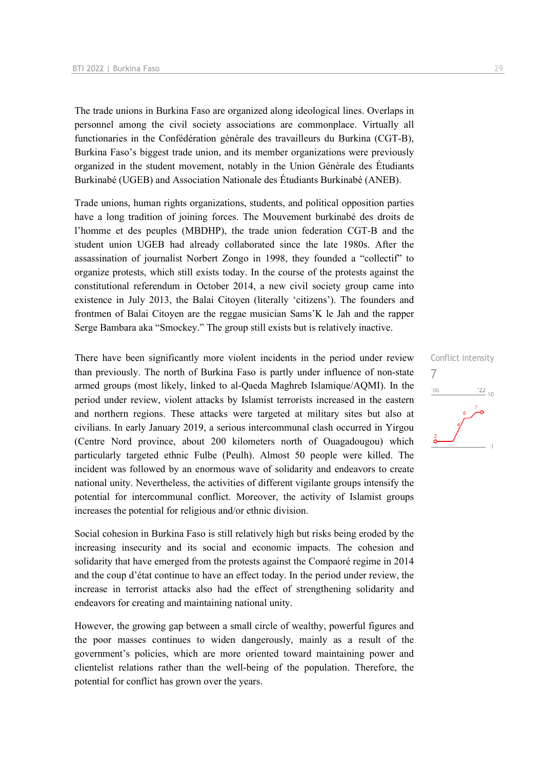The trade unions in Burkina Faso are organized along ideological lines. Overlaps in personnel among the civil society associations are commonplace. Virtually all functionaries in the Confédération générale des travailleurs du Burkina (CGT-B), Burkina Faso's biggest trade union, and its member organizations were previously organized in the student movement, notably in the Union Générale des Étudiants Burkinabé (UGEB) and Association Nationale des Étudiants Burkinabé (ANEB).

Trade unions, human rights organizations, students, and political opposition parties have a long tradition of joining forces. The Mouvement burkinabé des droits de l'homme et des peuples (MBDHP), the trade union federation CGT-B and the student union UGEB had already collaborated since the late 1980s. After the assassination of journalist Norbert Zongo in 1998, they founded a "collectif" to organize protests, which still exists today. In the course of the protests against the constitutional referendum in October 2014, a new civil society group came into existence in July 2013, the Balai Citoyen (literally 'citizens'). The founders and frontmen of Balai Citoyen are the reggae musician Sams'K le Jah and the rapper Serge Bambara aka "Smockey." The group still exists but is relatively inactive.

There have been significantly more violent incidents in the period under review than previously. The north of Burkina Faso is partly under influence of non-state armed groups (most likely, linked to al-Qaeda Maghreb Islamique/AQMI). In the period under review, violent attacks by Islamist terrorists increased in the eastern and northern regions. These attacks were targeted at military sites but also at civilians. In early January 2019, a serious intercommunal clash occurred in Yirgou (Centre Nord province, about 200 kilometers north of Ouagadougou) which particularly targeted ethnic Fulbe (Peulh). Almost 50 people were killed. The incident was followed by an enormous wave of solidarity and endeavors to create national unity. Nevertheless, the activities of different vigilante groups intensify the potential for intercommunal conflict. Moreover, the activity of Islamist groups increases the potential for religious and/or ethnic division.

Social cohesion in Burkina Faso is still relatively high but risks being eroded by the increasing insecurity and its social and economic impacts. The cohesion and solidarity that have emerged from the protests against the Compaoré regime in 2014 and the coup d'état continue to have an effect today. In the period under review, the increase in terrorist attacks also had the effect of strengthening solidarity and endeavors for creating and maintaining national unity.

However, the growing gap between a small circle of wealthy, powerful figures and the poor masses continues to widen dangerously, mainly as a result of the government's policies, which are more oriented toward maintaining power and clientelist relations rather than the well-being of the population. Therefore, the potential for conflict has grown over the years.

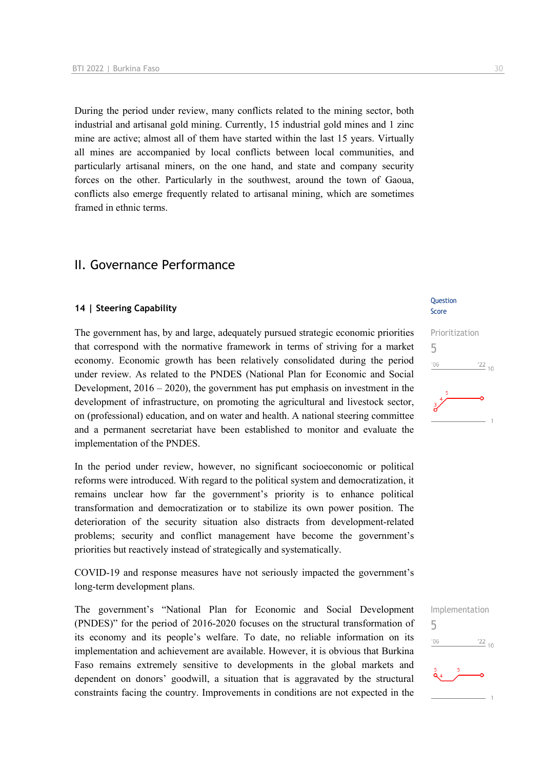During the period under review, many conflicts related to the mining sector, both industrial and artisanal gold mining. Currently, 15 industrial gold mines and 1 zinc mine are active; almost all of them have started within the last 15 years. Virtually all mines are accompanied by local conflicts between local communities, and particularly artisanal miners, on the one hand, and state and company security forces on the other. Particularly in the southwest, around the town of Gaoua, conflicts also emerge frequently related to artisanal mining, which are sometimes framed in ethnic terms.

# II. Governance Performance

#### **14 | Steering Capability**

The government has, by and large, adequately pursued strategic economic priorities that correspond with the normative framework in terms of striving for a market economy. Economic growth has been relatively consolidated during the period under review. As related to the PNDES (National Plan for Economic and Social Development, 2016 – 2020), the government has put emphasis on investment in the development of infrastructure, on promoting the agricultural and livestock sector, on (professional) education, and on water and health. A national steering committee and a permanent secretariat have been established to monitor and evaluate the implementation of the PNDES.

In the period under review, however, no significant socioeconomic or political reforms were introduced. With regard to the political system and democratization, it remains unclear how far the government's priority is to enhance political transformation and democratization or to stabilize its own power position. The deterioration of the security situation also distracts from development-related problems; security and conflict management have become the government's priorities but reactively instead of strategically and systematically.

COVID-19 and response measures have not seriously impacted the government's long-term development plans.

The government's "National Plan for Economic and Social Development (PNDES)" for the period of 2016-2020 focuses on the structural transformation of its economy and its people's welfare. To date, no reliable information on its implementation and achievement are available. However, it is obvious that Burkina Faso remains extremely sensitive to developments in the global markets and dependent on donors' goodwill, a situation that is aggravated by the structural constraints facing the country. Improvements in conditions are not expected in the

## **Ouestion** Score



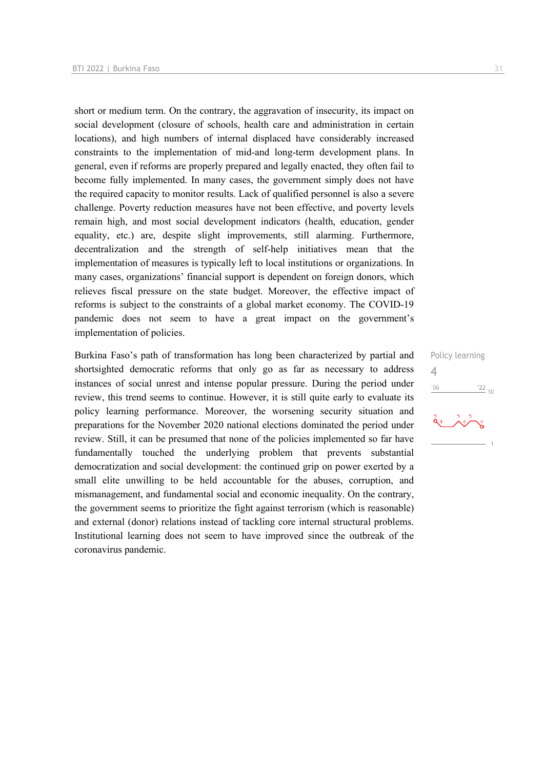short or medium term. On the contrary, the aggravation of insecurity, its impact on social development (closure of schools, health care and administration in certain locations), and high numbers of internal displaced have considerably increased constraints to the implementation of mid-and long-term development plans. In general, even if reforms are properly prepared and legally enacted, they often fail to become fully implemented. In many cases, the government simply does not have the required capacity to monitor results. Lack of qualified personnel is also a severe challenge. Poverty reduction measures have not been effective, and poverty levels remain high, and most social development indicators (health, education, gender equality, etc.) are, despite slight improvements, still alarming. Furthermore, decentralization and the strength of self-help initiatives mean that the implementation of measures is typically left to local institutions or organizations. In many cases, organizations' financial support is dependent on foreign donors, which relieves fiscal pressure on the state budget. Moreover, the effective impact of reforms is subject to the constraints of a global market economy. The COVID-19 pandemic does not seem to have a great impact on the government's implementation of policies.

Burkina Faso's path of transformation has long been characterized by partial and shortsighted democratic reforms that only go as far as necessary to address instances of social unrest and intense popular pressure. During the period under review, this trend seems to continue. However, it is still quite early to evaluate its policy learning performance. Moreover, the worsening security situation and preparations for the November 2020 national elections dominated the period under review. Still, it can be presumed that none of the policies implemented so far have fundamentally touched the underlying problem that prevents substantial democratization and social development: the continued grip on power exerted by a small elite unwilling to be held accountable for the abuses, corruption, and mismanagement, and fundamental social and economic inequality. On the contrary, the government seems to prioritize the fight against terrorism (which is reasonable) and external (donor) relations instead of tackling core internal structural problems. Institutional learning does not seem to have improved since the outbreak of the coronavirus pandemic.

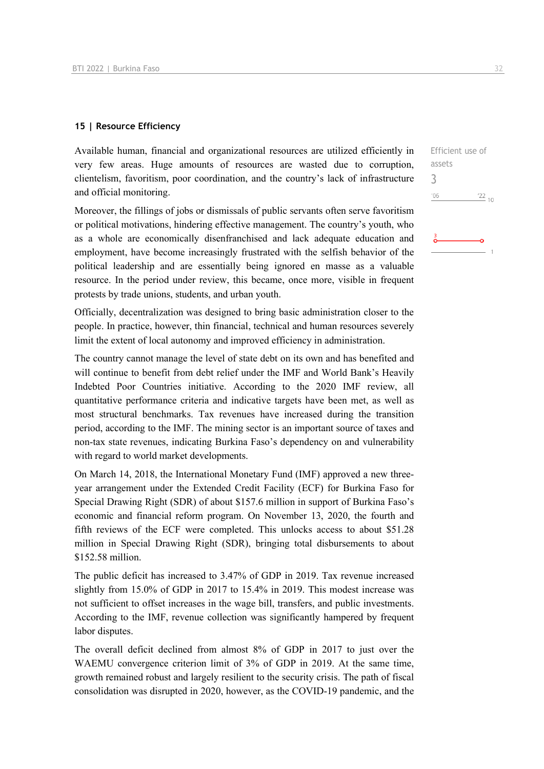#### **15 | Resource Efficiency**

Available human, financial and organizational resources are utilized efficiently in very few areas. Huge amounts of resources are wasted due to corruption, clientelism, favoritism, poor coordination, and the country's lack of infrastructure and official monitoring.

Moreover, the fillings of jobs or dismissals of public servants often serve favoritism or political motivations, hindering effective management. The country's youth, who as a whole are economically disenfranchised and lack adequate education and employment, have become increasingly frustrated with the selfish behavior of the political leadership and are essentially being ignored en masse as a valuable resource. In the period under review, this became, once more, visible in frequent protests by trade unions, students, and urban youth.

Officially, decentralization was designed to bring basic administration closer to the people. In practice, however, thin financial, technical and human resources severely limit the extent of local autonomy and improved efficiency in administration.

The country cannot manage the level of state debt on its own and has benefited and will continue to benefit from debt relief under the IMF and World Bank's Heavily Indebted Poor Countries initiative. According to the 2020 IMF review, all quantitative performance criteria and indicative targets have been met, as well as most structural benchmarks. Tax revenues have increased during the transition period, according to the IMF. The mining sector is an important source of taxes and non-tax state revenues, indicating Burkina Faso's dependency on and vulnerability with regard to world market developments.

On March 14, 2018, the International Monetary Fund (IMF) approved a new threeyear arrangement under the Extended Credit Facility (ECF) for Burkina Faso for Special Drawing Right (SDR) of about \$157.6 million in support of Burkina Faso's economic and financial reform program. On November 13, 2020, the fourth and fifth reviews of the ECF were completed. This unlocks access to about \$51.28 million in Special Drawing Right (SDR), bringing total disbursements to about \$152.58 million.

The public deficit has increased to 3.47% of GDP in 2019. Tax revenue increased slightly from 15.0% of GDP in 2017 to 15.4% in 2019. This modest increase was not sufficient to offset increases in the wage bill, transfers, and public investments. According to the IMF, revenue collection was significantly hampered by frequent labor disputes.

The overall deficit declined from almost 8% of GDP in 2017 to just over the WAEMU convergence criterion limit of 3% of GDP in 2019. At the same time, growth remained robust and largely resilient to the security crisis. The path of fiscal consolidation was disrupted in 2020, however, as the COVID-19 pandemic, and the

Efficient use of assets 3 $06'$  $\frac{22}{10}$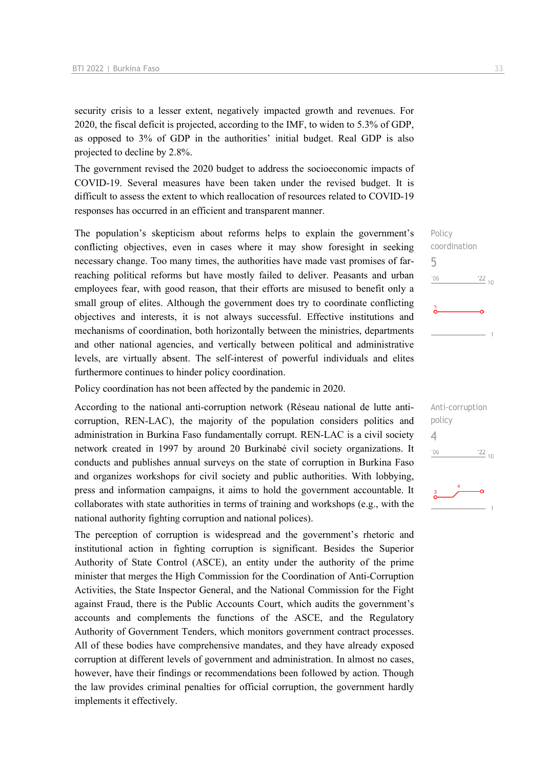security crisis to a lesser extent, negatively impacted growth and revenues. For 2020, the fiscal deficit is projected, according to the IMF, to widen to 5.3% of GDP, as opposed to 3% of GDP in the authorities' initial budget. Real GDP is also projected to decline by 2.8%.

The government revised the 2020 budget to address the socioeconomic impacts of COVID-19. Several measures have been taken under the revised budget. It is difficult to assess the extent to which reallocation of resources related to COVID-19 responses has occurred in an efficient and transparent manner.

The population's skepticism about reforms helps to explain the government's conflicting objectives, even in cases where it may show foresight in seeking necessary change. Too many times, the authorities have made vast promises of farreaching political reforms but have mostly failed to deliver. Peasants and urban employees fear, with good reason, that their efforts are misused to benefit only a small group of elites. Although the government does try to coordinate conflicting objectives and interests, it is not always successful. Effective institutions and mechanisms of coordination, both horizontally between the ministries, departments and other national agencies, and vertically between political and administrative levels, are virtually absent. The self-interest of powerful individuals and elites furthermore continues to hinder policy coordination.

Policy coordination has not been affected by the pandemic in 2020.

According to the national anti-corruption network (Réseau national de lutte anticorruption, REN-LAC), the majority of the population considers politics and administration in Burkina Faso fundamentally corrupt. REN-LAC is a civil society network created in 1997 by around 20 Burkinabé civil society organizations. It conducts and publishes annual surveys on the state of corruption in Burkina Faso and organizes workshops for civil society and public authorities. With lobbying, press and information campaigns, it aims to hold the government accountable. It collaborates with state authorities in terms of training and workshops (e.g., with the national authority fighting corruption and national polices).

The perception of corruption is widespread and the government's rhetoric and institutional action in fighting corruption is significant. Besides the Superior Authority of State Control (ASCE), an entity under the authority of the prime minister that merges the High Commission for the Coordination of Anti-Corruption Activities, the State Inspector General, and the National Commission for the Fight against Fraud, there is the Public Accounts Court, which audits the government's accounts and complements the functions of the ASCE, and the Regulatory Authority of Government Tenders, which monitors government contract processes. All of these bodies have comprehensive mandates, and they have already exposed corruption at different levels of government and administration. In almost no cases, however, have their findings or recommendations been followed by action. Though the law provides criminal penalties for official corruption, the government hardly implements it effectively.

Policy coordination 5  $106$  $\frac{22}{10}$ 

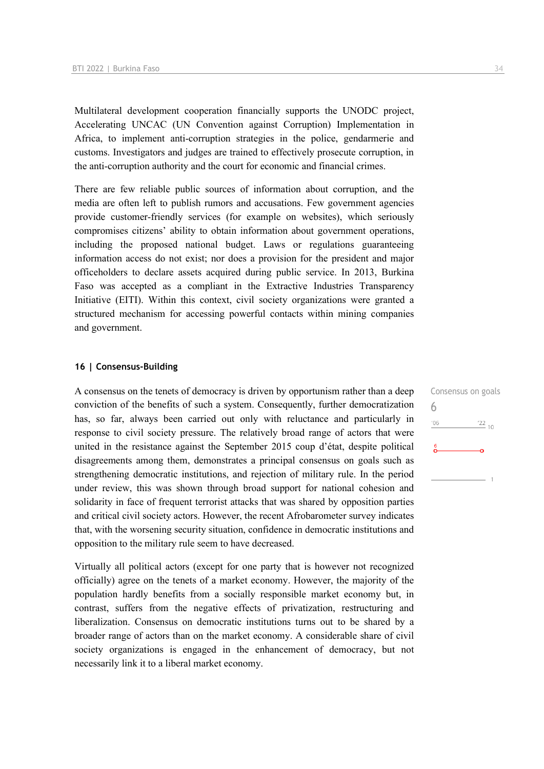Multilateral development cooperation financially supports the UNODC project, Accelerating UNCAC (UN Convention against Corruption) Implementation in Africa, to implement anti-corruption strategies in the police, gendarmerie and customs. Investigators and judges are trained to effectively prosecute corruption, in the anti-corruption authority and the court for economic and financial crimes.

There are few reliable public sources of information about corruption, and the media are often left to publish rumors and accusations. Few government agencies provide customer-friendly services (for example on websites), which seriously compromises citizens' ability to obtain information about government operations, including the proposed national budget. Laws or regulations guaranteeing information access do not exist; nor does a provision for the president and major officeholders to declare assets acquired during public service. In 2013, Burkina Faso was accepted as a compliant in the Extractive Industries Transparency Initiative (EITI). Within this context, civil society organizations were granted a structured mechanism for accessing powerful contacts within mining companies and government.

## **16 | Consensus-Building**

A consensus on the tenets of democracy is driven by opportunism rather than a deep conviction of the benefits of such a system. Consequently, further democratization has, so far, always been carried out only with reluctance and particularly in response to civil society pressure. The relatively broad range of actors that were united in the resistance against the September 2015 coup d'état, despite political disagreements among them, demonstrates a principal consensus on goals such as strengthening democratic institutions, and rejection of military rule. In the period under review, this was shown through broad support for national cohesion and solidarity in face of frequent terrorist attacks that was shared by opposition parties and critical civil society actors. However, the recent Afrobarometer survey indicates that, with the worsening security situation, confidence in democratic institutions and opposition to the military rule seem to have decreased.

Virtually all political actors (except for one party that is however not recognized officially) agree on the tenets of a market economy. However, the majority of the population hardly benefits from a socially responsible market economy but, in contrast, suffers from the negative effects of privatization, restructuring and liberalization. Consensus on democratic institutions turns out to be shared by a broader range of actors than on the market economy. A considerable share of civil society organizations is engaged in the enhancement of democracy, but not necessarily link it to a liberal market economy.

Consensus on goals 6 $\frac{22}{10}$  $'06$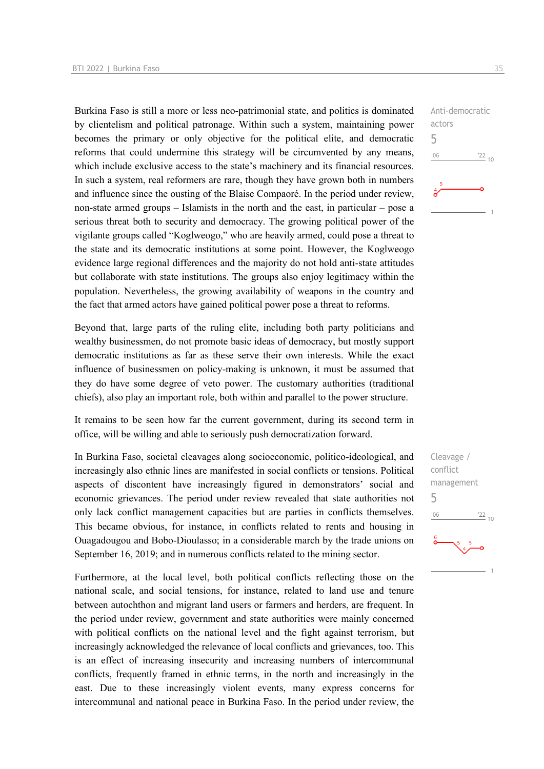Burkina Faso is still a more or less neo-patrimonial state, and politics is dominated by clientelism and political patronage. Within such a system, maintaining power becomes the primary or only objective for the political elite, and democratic reforms that could undermine this strategy will be circumvented by any means, which include exclusive access to the state's machinery and its financial resources. In such a system, real reformers are rare, though they have grown both in numbers and influence since the ousting of the Blaise Compaoré. In the period under review, non-state armed groups – Islamists in the north and the east, in particular – pose a serious threat both to security and democracy. The growing political power of the vigilante groups called "Koglweogo," who are heavily armed, could pose a threat to the state and its democratic institutions at some point. However, the Koglweogo evidence large regional differences and the majority do not hold anti-state attitudes but collaborate with state institutions. The groups also enjoy legitimacy within the population. Nevertheless, the growing availability of weapons in the country and the fact that armed actors have gained political power pose a threat to reforms.

Beyond that, large parts of the ruling elite, including both party politicians and wealthy businessmen, do not promote basic ideas of democracy, but mostly support democratic institutions as far as these serve their own interests. While the exact influence of businessmen on policy-making is unknown, it must be assumed that they do have some degree of veto power. The customary authorities (traditional chiefs), also play an important role, both within and parallel to the power structure.

It remains to be seen how far the current government, during its second term in office, will be willing and able to seriously push democratization forward.

In Burkina Faso, societal cleavages along socioeconomic, politico-ideological, and increasingly also ethnic lines are manifested in social conflicts or tensions. Political aspects of discontent have increasingly figured in demonstrators' social and economic grievances. The period under review revealed that state authorities not only lack conflict management capacities but are parties in conflicts themselves. This became obvious, for instance, in conflicts related to rents and housing in Ouagadougou and Bobo-Dioulasso; in a considerable march by the trade unions on September 16, 2019; and in numerous conflicts related to the mining sector.

Furthermore, at the local level, both political conflicts reflecting those on the national scale, and social tensions, for instance, related to land use and tenure between autochthon and migrant land users or farmers and herders, are frequent. In the period under review, government and state authorities were mainly concerned with political conflicts on the national level and the fight against terrorism, but increasingly acknowledged the relevance of local conflicts and grievances, too. This is an effect of increasing insecurity and increasing numbers of intercommunal conflicts, frequently framed in ethnic terms, in the north and increasingly in the east. Due to these increasingly violent events, many express concerns for intercommunal and national peace in Burkina Faso. In the period under review, the



Cleavage / conflict management 5 $-06$  $\frac{22}{10}$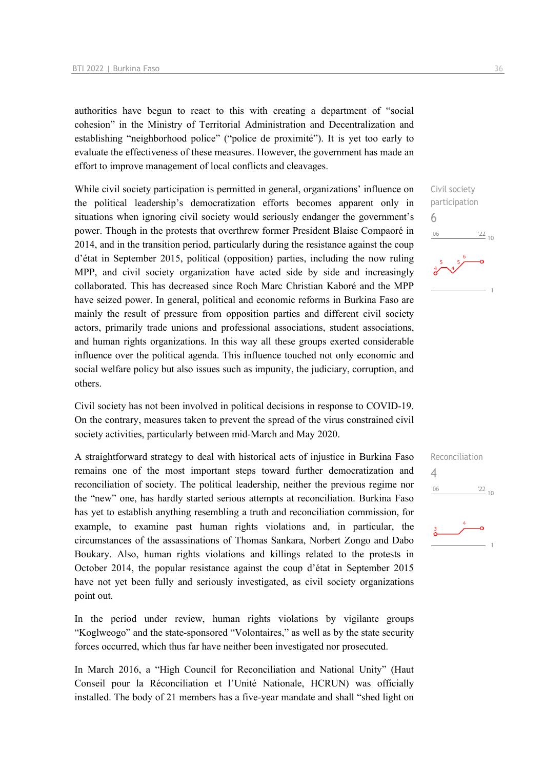authorities have begun to react to this with creating a department of "social cohesion" in the Ministry of Territorial Administration and Decentralization and establishing "neighborhood police" ("police de proximité"). It is yet too early to evaluate the effectiveness of these measures. However, the government has made an effort to improve management of local conflicts and cleavages.

While civil society participation is permitted in general, organizations' influence on the political leadership's democratization efforts becomes apparent only in situations when ignoring civil society would seriously endanger the government's power. Though in the protests that overthrew former President Blaise Compaoré in 2014, and in the transition period, particularly during the resistance against the coup d'état in September 2015, political (opposition) parties, including the now ruling MPP, and civil society organization have acted side by side and increasingly collaborated. This has decreased since Roch Marc Christian Kaboré and the MPP have seized power. In general, political and economic reforms in Burkina Faso are mainly the result of pressure from opposition parties and different civil society actors, primarily trade unions and professional associations, student associations, and human rights organizations. In this way all these groups exerted considerable influence over the political agenda. This influence touched not only economic and social welfare policy but also issues such as impunity, the judiciary, corruption, and others.

Civil society has not been involved in political decisions in response to COVID-19. On the contrary, measures taken to prevent the spread of the virus constrained civil society activities, particularly between mid-March and May 2020.

A straightforward strategy to deal with historical acts of injustice in Burkina Faso remains one of the most important steps toward further democratization and reconciliation of society. The political leadership, neither the previous regime nor the "new" one, has hardly started serious attempts at reconciliation. Burkina Faso has yet to establish anything resembling a truth and reconciliation commission, for example, to examine past human rights violations and, in particular, the circumstances of the assassinations of Thomas Sankara, Norbert Zongo and Dabo Boukary. Also, human rights violations and killings related to the protests in October 2014, the popular resistance against the coup d'état in September 2015 have not yet been fully and seriously investigated, as civil society organizations point out.

In the period under review, human rights violations by vigilante groups "Koglweogo" and the state-sponsored "Volontaires," as well as by the state security forces occurred, which thus far have neither been investigated nor prosecuted.

In March 2016, a "High Council for Reconciliation and National Unity" (Haut Conseil pour la Réconciliation et l'Unité Nationale, HCRUN) was officially installed. The body of 21 members has a five-year mandate and shall "shed light on 6

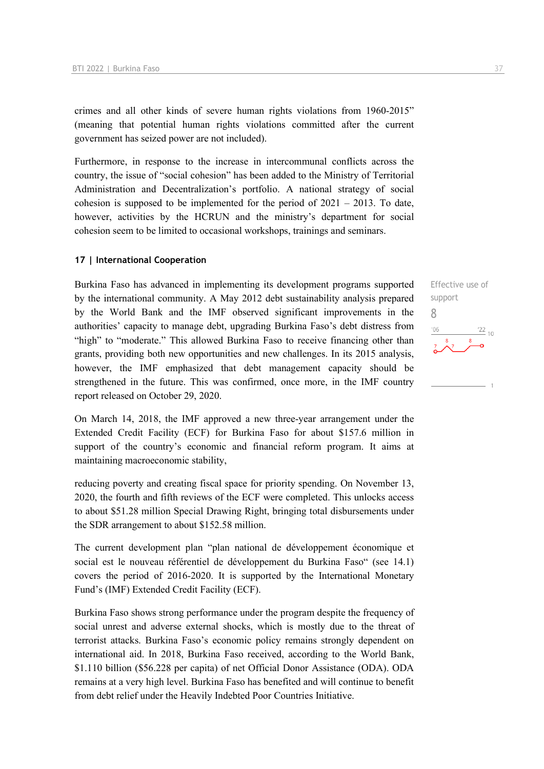crimes and all other kinds of severe human rights violations from 1960-2015" (meaning that potential human rights violations committed after the current government has seized power are not included).

Furthermore, in response to the increase in intercommunal conflicts across the country, the issue of "social cohesion" has been added to the Ministry of Territorial Administration and Decentralization's portfolio. A national strategy of social cohesion is supposed to be implemented for the period of  $2021 - 2013$ . To date, however, activities by the HCRUN and the ministry's department for social cohesion seem to be limited to occasional workshops, trainings and seminars.

#### **17 | International Cooperation**

Burkina Faso has advanced in implementing its development programs supported by the international community. A May 2012 debt sustainability analysis prepared by the World Bank and the IMF observed significant improvements in the authorities' capacity to manage debt, upgrading Burkina Faso's debt distress from "high" to "moderate." This allowed Burkina Faso to receive financing other than grants, providing both new opportunities and new challenges. In its 2015 analysis, however, the IMF emphasized that debt management capacity should be strengthened in the future. This was confirmed, once more, in the IMF country report released on October 29, 2020.

On March 14, 2018, the IMF approved a new three-year arrangement under the Extended Credit Facility (ECF) for Burkina Faso for about \$157.6 million in support of the country's economic and financial reform program. It aims at maintaining macroeconomic stability,

reducing poverty and creating fiscal space for priority spending. On November 13, 2020, the fourth and fifth reviews of the ECF were completed. This unlocks access to about \$51.28 million Special Drawing Right, bringing total disbursements under the SDR arrangement to about \$152.58 million.

The current development plan "plan national de développement économique et social est le nouveau référentiel de développement du Burkina Faso" (see 14.1) covers the period of 2016-2020. It is supported by the International Monetary Fund's (IMF) Extended Credit Facility (ECF).

Burkina Faso shows strong performance under the program despite the frequency of social unrest and adverse external shocks, which is mostly due to the threat of terrorist attacks. Burkina Faso's economic policy remains strongly dependent on international aid. In 2018, Burkina Faso received, according to the World Bank, \$1.110 billion (\$56.228 per capita) of net Official Donor Assistance (ODA). ODA remains at a very high level. Burkina Faso has benefited and will continue to benefit from debt relief under the Heavily Indebted Poor Countries Initiative.

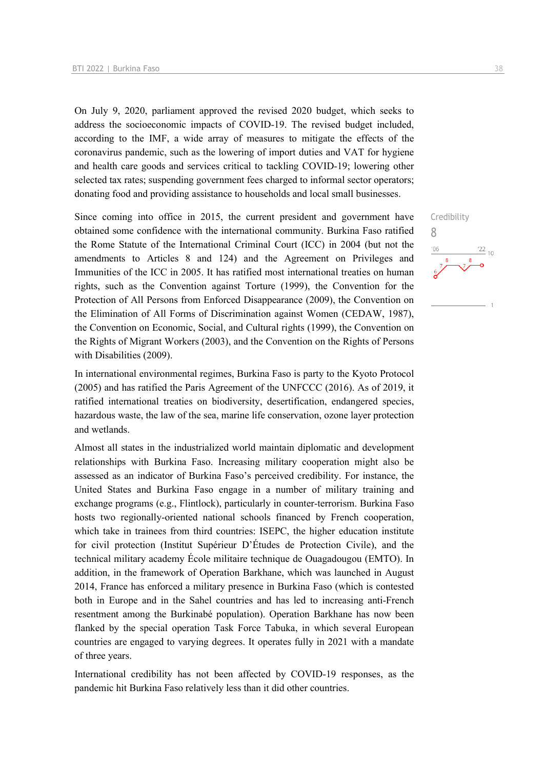On July 9, 2020, parliament approved the revised 2020 budget, which seeks to address the socioeconomic impacts of COVID-19. The revised budget included, according to the IMF, a wide array of measures to mitigate the effects of the coronavirus pandemic, such as the lowering of import duties and VAT for hygiene and health care goods and services critical to tackling COVID-19; lowering other selected tax rates; suspending government fees charged to informal sector operators; donating food and providing assistance to households and local small businesses.

Since coming into office in 2015, the current president and government have obtained some confidence with the international community. Burkina Faso ratified the Rome Statute of the International Criminal Court (ICC) in 2004 (but not the amendments to Articles 8 and 124) and the Agreement on Privileges and Immunities of the ICC in 2005. It has ratified most international treaties on human rights, such as the Convention against Torture (1999), the Convention for the Protection of All Persons from Enforced Disappearance (2009), the Convention on the Elimination of All Forms of Discrimination against Women (CEDAW, 1987), the Convention on Economic, Social, and Cultural rights (1999), the Convention on the Rights of Migrant Workers (2003), and the Convention on the Rights of Persons with Disabilities (2009).

In international environmental regimes, Burkina Faso is party to the Kyoto Protocol (2005) and has ratified the Paris Agreement of the UNFCCC (2016). As of 2019, it ratified international treaties on biodiversity, desertification, endangered species, hazardous waste, the law of the sea, marine life conservation, ozone layer protection and wetlands.

Almost all states in the industrialized world maintain diplomatic and development relationships with Burkina Faso. Increasing military cooperation might also be assessed as an indicator of Burkina Faso's perceived credibility. For instance, the United States and Burkina Faso engage in a number of military training and exchange programs (e.g., Flintlock), particularly in counter-terrorism. Burkina Faso hosts two regionally-oriented national schools financed by French cooperation, which take in trainees from third countries: ISEPC, the higher education institute for civil protection (Institut Supérieur D'Études de Protection Civile), and the technical military academy École militaire technique de Ouagadougou (EMTO). In addition, in the framework of Operation Barkhane, which was launched in August 2014, France has enforced a military presence in Burkina Faso (which is contested both in Europe and in the Sahel countries and has led to increasing anti-French resentment among the Burkinabé population). Operation Barkhane has now been flanked by the special operation Task Force Tabuka, in which several European countries are engaged to varying degrees. It operates fully in 2021 with a mandate of three years.

International credibility has not been affected by COVID-19 responses, as the pandemic hit Burkina Faso relatively less than it did other countries.

Credibility

 $\frac{22}{10}$ 

8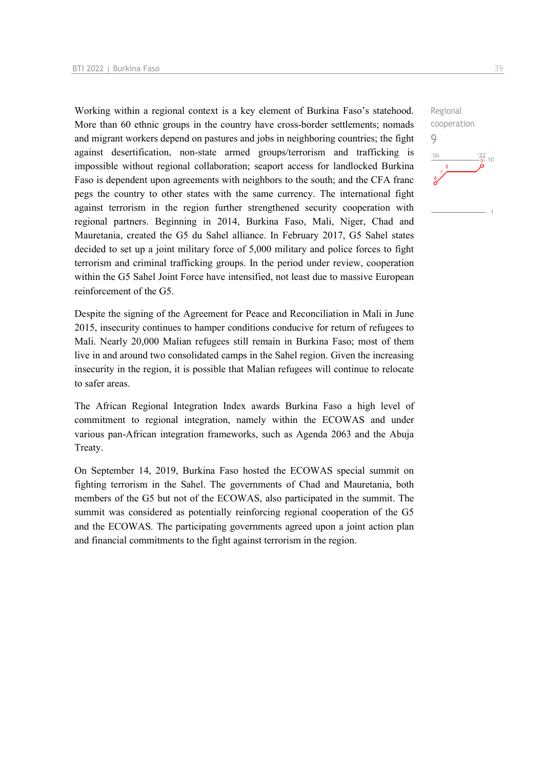Working within a regional context is a key element of Burkina Faso's statehood. More than 60 ethnic groups in the country have cross-border settlements; nomads and migrant workers depend on pastures and jobs in neighboring countries; the fight against desertification, non-state armed groups/terrorism and trafficking is impossible without regional collaboration; seaport access for landlocked Burkina Faso is dependent upon agreements with neighbors to the south; and the CFA franc pegs the country to other states with the same currency. The international fight against terrorism in the region further strengthened security cooperation with regional partners. Beginning in 2014, Burkina Faso, Mali, Niger, Chad and Mauretania, created the G5 du Sahel alliance. In February 2017, G5 Sahel states decided to set up a joint military force of 5,000 military and police forces to fight terrorism and criminal trafficking groups. In the period under review, cooperation within the G5 Sahel Joint Force have intensified, not least due to massive European reinforcement of the G5.

Despite the signing of the Agreement for Peace and Reconciliation in Mali in June 2015, insecurity continues to hamper conditions conducive for return of refugees to Mali. Nearly 20,000 Malian refugees still remain in Burkina Faso; most of them live in and around two consolidated camps in the Sahel region. Given the increasing insecurity in the region, it is possible that Malian refugees will continue to relocate to safer areas.

The African Regional Integration Index awards Burkina Faso a high level of commitment to regional integration, namely within the ECOWAS and under various pan-African integration frameworks, such as Agenda 2063 and the Abuja Treaty.

On September 14, 2019, Burkina Faso hosted the ECOWAS special summit on fighting terrorism in the Sahel. The governments of Chad and Mauretania, both members of the G5 but not of the ECOWAS, also participated in the summit. The summit was considered as potentially reinforcing regional cooperation of the G5 and the ECOWAS. The participating governments agreed upon a joint action plan and financial commitments to the fight against terrorism in the region.

Regional cooperation 9 $-06$  $\frac{22}{9}$ - 10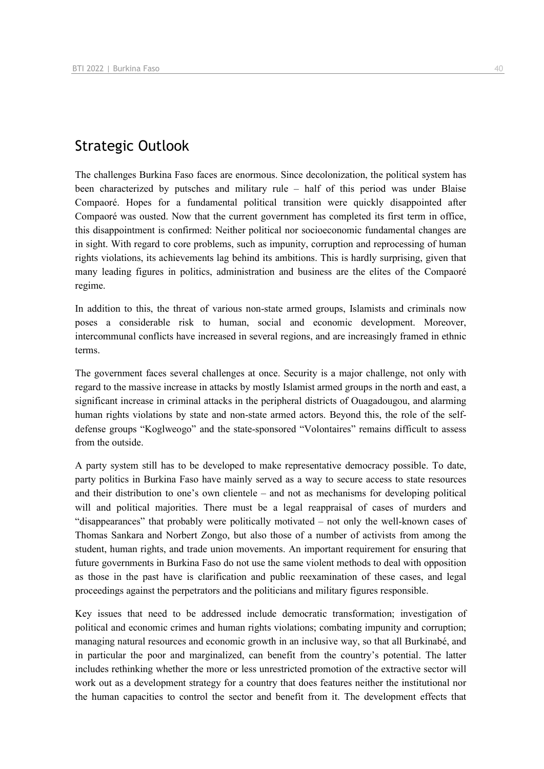# Strategic Outlook

The challenges Burkina Faso faces are enormous. Since decolonization, the political system has been characterized by putsches and military rule – half of this period was under Blaise Compaoré. Hopes for a fundamental political transition were quickly disappointed after Compaoré was ousted. Now that the current government has completed its first term in office, this disappointment is confirmed: Neither political nor socioeconomic fundamental changes are in sight. With regard to core problems, such as impunity, corruption and reprocessing of human rights violations, its achievements lag behind its ambitions. This is hardly surprising, given that many leading figures in politics, administration and business are the elites of the Compaoré regime.

In addition to this, the threat of various non-state armed groups, Islamists and criminals now poses a considerable risk to human, social and economic development. Moreover, intercommunal conflicts have increased in several regions, and are increasingly framed in ethnic terms.

The government faces several challenges at once. Security is a major challenge, not only with regard to the massive increase in attacks by mostly Islamist armed groups in the north and east, a significant increase in criminal attacks in the peripheral districts of Ouagadougou, and alarming human rights violations by state and non-state armed actors. Beyond this, the role of the selfdefense groups "Koglweogo" and the state-sponsored "Volontaires" remains difficult to assess from the outside.

A party system still has to be developed to make representative democracy possible. To date, party politics in Burkina Faso have mainly served as a way to secure access to state resources and their distribution to one's own clientele – and not as mechanisms for developing political will and political majorities. There must be a legal reappraisal of cases of murders and "disappearances" that probably were politically motivated – not only the well-known cases of Thomas Sankara and Norbert Zongo, but also those of a number of activists from among the student, human rights, and trade union movements. An important requirement for ensuring that future governments in Burkina Faso do not use the same violent methods to deal with opposition as those in the past have is clarification and public reexamination of these cases, and legal proceedings against the perpetrators and the politicians and military figures responsible.

Key issues that need to be addressed include democratic transformation; investigation of political and economic crimes and human rights violations; combating impunity and corruption; managing natural resources and economic growth in an inclusive way, so that all Burkinabé, and in particular the poor and marginalized, can benefit from the country's potential. The latter includes rethinking whether the more or less unrestricted promotion of the extractive sector will work out as a development strategy for a country that does features neither the institutional nor the human capacities to control the sector and benefit from it. The development effects that